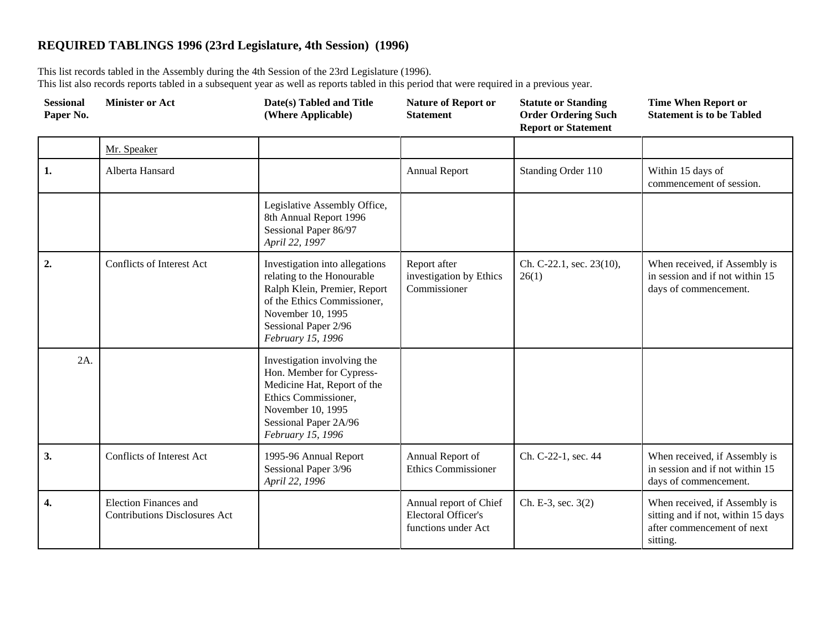## **REQUIRED TABLINGS 1996 (23rd Legislature, 4th Session) (1996)**

This list records tabled in the Assembly during the 4th Session of the 23rd Legislature (1996). This list also records reports tabled in a subsequent year as well as reports tabled in this period that were required in a previous year.

| <b>Sessional</b><br>Paper No. | <b>Minister or Act</b>                                               | Date(s) Tabled and Title<br>(Where Applicable)                                                                                                                                                | <b>Nature of Report or</b><br><b>Statement</b>                       | <b>Statute or Standing</b><br><b>Order Ordering Such</b><br><b>Report or Statement</b> | <b>Time When Report or</b><br><b>Statement is to be Tabled</b>                                                |
|-------------------------------|----------------------------------------------------------------------|-----------------------------------------------------------------------------------------------------------------------------------------------------------------------------------------------|----------------------------------------------------------------------|----------------------------------------------------------------------------------------|---------------------------------------------------------------------------------------------------------------|
|                               | Mr. Speaker                                                          |                                                                                                                                                                                               |                                                                      |                                                                                        |                                                                                                               |
| 1.                            | Alberta Hansard                                                      |                                                                                                                                                                                               | <b>Annual Report</b>                                                 | Standing Order 110                                                                     | Within 15 days of<br>commencement of session.                                                                 |
|                               |                                                                      | Legislative Assembly Office,<br>8th Annual Report 1996<br>Sessional Paper 86/97<br>April 22, 1997                                                                                             |                                                                      |                                                                                        |                                                                                                               |
| $\overline{2}$ .              | <b>Conflicts of Interest Act</b>                                     | Investigation into allegations<br>relating to the Honourable<br>Ralph Klein, Premier, Report<br>of the Ethics Commissioner,<br>November 10, 1995<br>Sessional Paper 2/96<br>February 15, 1996 | Report after<br>investigation by Ethics<br>Commissioner              | Ch. C-22.1, sec. 23(10),<br>26(1)                                                      | When received, if Assembly is<br>in session and if not within 15<br>days of commencement.                     |
| $2A$ .                        |                                                                      | Investigation involving the<br>Hon. Member for Cypress-<br>Medicine Hat, Report of the<br>Ethics Commissioner,<br>November 10, 1995<br>Sessional Paper 2A/96<br>February 15, 1996             |                                                                      |                                                                                        |                                                                                                               |
| 3.                            | Conflicts of Interest Act                                            | 1995-96 Annual Report<br>Sessional Paper 3/96<br>April 22, 1996                                                                                                                               | Annual Report of<br><b>Ethics Commissioner</b>                       | Ch. C-22-1, sec. 44                                                                    | When received, if Assembly is<br>in session and if not within 15<br>days of commencement.                     |
| 4.                            | <b>Election Finances and</b><br><b>Contributions Disclosures Act</b> |                                                                                                                                                                                               | Annual report of Chief<br>Electoral Officer's<br>functions under Act | Ch. E-3, sec. 3(2)                                                                     | When received, if Assembly is<br>sitting and if not, within 15 days<br>after commencement of next<br>sitting. |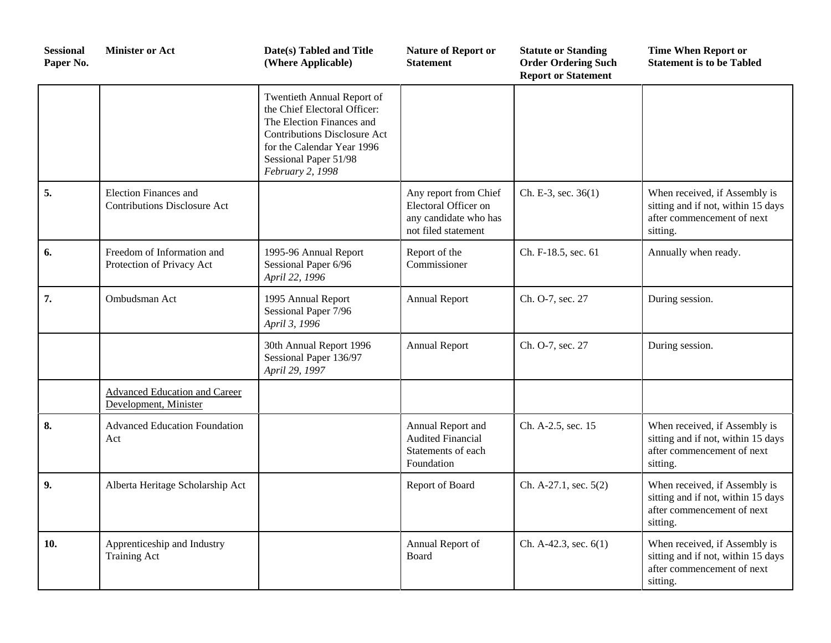| <b>Sessional</b><br>Paper No. | <b>Minister or Act</b>                                              | Date(s) Tabled and Title<br>(Where Applicable)                                                                                                                                                            | <b>Nature of Report or</b><br><b>Statement</b>                                                | <b>Statute or Standing</b><br><b>Order Ordering Such</b><br><b>Report or Statement</b> | <b>Time When Report or</b><br><b>Statement is to be Tabled</b>                                                |
|-------------------------------|---------------------------------------------------------------------|-----------------------------------------------------------------------------------------------------------------------------------------------------------------------------------------------------------|-----------------------------------------------------------------------------------------------|----------------------------------------------------------------------------------------|---------------------------------------------------------------------------------------------------------------|
|                               |                                                                     | Twentieth Annual Report of<br>the Chief Electoral Officer:<br>The Election Finances and<br><b>Contributions Disclosure Act</b><br>for the Calendar Year 1996<br>Sessional Paper 51/98<br>February 2, 1998 |                                                                                               |                                                                                        |                                                                                                               |
| 5.                            | <b>Election Finances and</b><br><b>Contributions Disclosure Act</b> |                                                                                                                                                                                                           | Any report from Chief<br>Electoral Officer on<br>any candidate who has<br>not filed statement | Ch. E-3, sec. $36(1)$                                                                  | When received, if Assembly is<br>sitting and if not, within 15 days<br>after commencement of next<br>sitting. |
| 6.                            | Freedom of Information and<br>Protection of Privacy Act             | 1995-96 Annual Report<br>Sessional Paper 6/96<br>April 22, 1996                                                                                                                                           | Report of the<br>Commissioner                                                                 | Ch. F-18.5, sec. 61                                                                    | Annually when ready.                                                                                          |
| 7.                            | Ombudsman Act                                                       | 1995 Annual Report<br>Sessional Paper 7/96<br>April 3, 1996                                                                                                                                               | <b>Annual Report</b>                                                                          | Ch. O-7, sec. 27                                                                       | During session.                                                                                               |
|                               |                                                                     | 30th Annual Report 1996<br>Sessional Paper 136/97<br>April 29, 1997                                                                                                                                       | <b>Annual Report</b>                                                                          | Ch. O-7, sec. 27                                                                       | During session.                                                                                               |
|                               | Advanced Education and Career<br>Development, Minister              |                                                                                                                                                                                                           |                                                                                               |                                                                                        |                                                                                                               |
| 8.                            | <b>Advanced Education Foundation</b><br>Act                         |                                                                                                                                                                                                           | Annual Report and<br><b>Audited Financial</b><br>Statements of each<br>Foundation             | Ch. A-2.5, sec. 15                                                                     | When received, if Assembly is<br>sitting and if not, within 15 days<br>after commencement of next<br>sitting. |
| 9.                            | Alberta Heritage Scholarship Act                                    |                                                                                                                                                                                                           | Report of Board                                                                               | Ch. A-27.1, sec. 5(2)                                                                  | When received, if Assembly is<br>sitting and if not, within 15 days<br>after commencement of next<br>sitting. |
| 10.                           | Apprenticeship and Industry<br><b>Training Act</b>                  |                                                                                                                                                                                                           | Annual Report of<br>Board                                                                     | Ch. A-42.3, sec. $6(1)$                                                                | When received, if Assembly is<br>sitting and if not, within 15 days<br>after commencement of next<br>sitting. |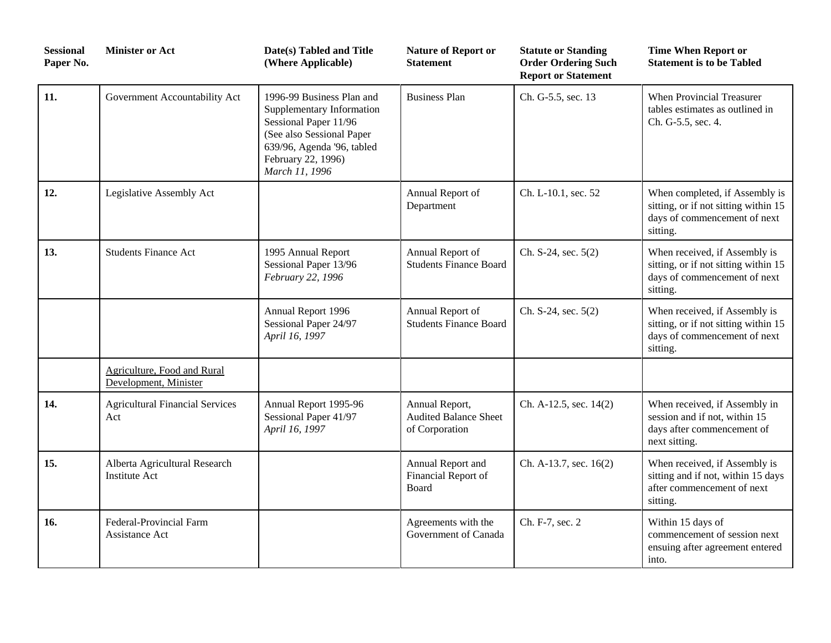| <b>Sessional</b><br>Paper No. | <b>Minister or Act</b>                                | Date(s) Tabled and Title<br>(Where Applicable)                                                                                                                                     | <b>Nature of Report or</b><br>Statement                          | <b>Statute or Standing</b><br><b>Order Ordering Such</b><br><b>Report or Statement</b> | <b>Time When Report or</b><br><b>Statement is to be Tabled</b>                                                     |
|-------------------------------|-------------------------------------------------------|------------------------------------------------------------------------------------------------------------------------------------------------------------------------------------|------------------------------------------------------------------|----------------------------------------------------------------------------------------|--------------------------------------------------------------------------------------------------------------------|
| 11.                           | Government Accountability Act                         | 1996-99 Business Plan and<br>Supplementary Information<br>Sessional Paper 11/96<br>(See also Sessional Paper<br>639/96, Agenda '96, tabled<br>February 22, 1996)<br>March 11, 1996 | <b>Business Plan</b>                                             | Ch. G-5.5, sec. 13                                                                     | When Provincial Treasurer<br>tables estimates as outlined in<br>Ch. G-5.5, sec. 4.                                 |
| 12.                           | Legislative Assembly Act                              |                                                                                                                                                                                    | Annual Report of<br>Department                                   | Ch. L-10.1, sec. 52                                                                    | When completed, if Assembly is<br>sitting, or if not sitting within 15<br>days of commencement of next<br>sitting. |
| 13.                           | <b>Students Finance Act</b>                           | 1995 Annual Report<br>Sessional Paper 13/96<br>February 22, 1996                                                                                                                   | Annual Report of<br><b>Students Finance Board</b>                | Ch. S-24, sec. 5(2)                                                                    | When received, if Assembly is<br>sitting, or if not sitting within 15<br>days of commencement of next<br>sitting.  |
|                               |                                                       | Annual Report 1996<br>Sessional Paper 24/97<br>April 16, 1997                                                                                                                      | Annual Report of<br><b>Students Finance Board</b>                | Ch. S-24, sec. 5(2)                                                                    | When received, if Assembly is<br>sitting, or if not sitting within 15<br>days of commencement of next<br>sitting.  |
|                               | Agriculture, Food and Rural<br>Development, Minister  |                                                                                                                                                                                    |                                                                  |                                                                                        |                                                                                                                    |
| 14.                           | <b>Agricultural Financial Services</b><br>Act         | Annual Report 1995-96<br>Sessional Paper 41/97<br>April 16, 1997                                                                                                                   | Annual Report,<br><b>Audited Balance Sheet</b><br>of Corporation | Ch. A-12.5, sec. 14(2)                                                                 | When received, if Assembly in<br>session and if not, within 15<br>days after commencement of<br>next sitting.      |
| 15.                           | Alberta Agricultural Research<br><b>Institute Act</b> |                                                                                                                                                                                    | Annual Report and<br>Financial Report of<br>Board                | Ch. A-13.7, sec. 16(2)                                                                 | When received, if Assembly is<br>sitting and if not, within 15 days<br>after commencement of next<br>sitting.      |
| 16.                           | <b>Federal-Provincial Farm</b><br>Assistance Act      |                                                                                                                                                                                    | Agreements with the<br>Government of Canada                      | Ch. F-7, sec. 2                                                                        | Within 15 days of<br>commencement of session next<br>ensuing after agreement entered<br>into.                      |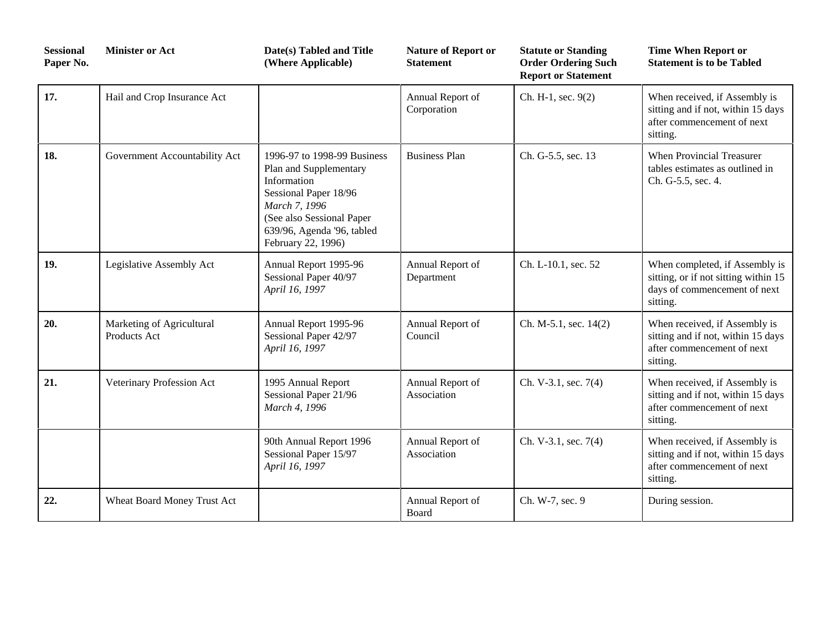| <b>Sessional</b><br>Paper No. | <b>Minister or Act</b>                    | Date(s) Tabled and Title<br>(Where Applicable)                                                                                                                                                   | <b>Nature of Report or</b><br><b>Statement</b> | <b>Statute or Standing</b><br><b>Order Ordering Such</b><br><b>Report or Statement</b> | <b>Time When Report or</b><br><b>Statement is to be Tabled</b>                                                     |
|-------------------------------|-------------------------------------------|--------------------------------------------------------------------------------------------------------------------------------------------------------------------------------------------------|------------------------------------------------|----------------------------------------------------------------------------------------|--------------------------------------------------------------------------------------------------------------------|
| 17.                           | Hail and Crop Insurance Act               |                                                                                                                                                                                                  | Annual Report of<br>Corporation                | Ch. H-1, sec. 9(2)                                                                     | When received, if Assembly is<br>sitting and if not, within 15 days<br>after commencement of next<br>sitting.      |
| 18.                           | Government Accountability Act             | 1996-97 to 1998-99 Business<br>Plan and Supplementary<br>Information<br>Sessional Paper 18/96<br>March 7, 1996<br>(See also Sessional Paper)<br>639/96, Agenda '96, tabled<br>February 22, 1996) | <b>Business Plan</b>                           | Ch. G-5.5, sec. 13                                                                     | <b>When Provincial Treasurer</b><br>tables estimates as outlined in<br>Ch. G-5.5, sec. 4.                          |
| 19.                           | Legislative Assembly Act                  | Annual Report 1995-96<br>Sessional Paper 40/97<br>April 16, 1997                                                                                                                                 | Annual Report of<br>Department                 | Ch. L-10.1, sec. 52                                                                    | When completed, if Assembly is<br>sitting, or if not sitting within 15<br>days of commencement of next<br>sitting. |
| 20.                           | Marketing of Agricultural<br>Products Act | Annual Report 1995-96<br>Sessional Paper 42/97<br>April 16, 1997                                                                                                                                 | Annual Report of<br>Council                    | Ch. M-5.1, sec. 14(2)                                                                  | When received, if Assembly is<br>sitting and if not, within 15 days<br>after commencement of next<br>sitting.      |
| 21.                           | Veterinary Profession Act                 | 1995 Annual Report<br>Sessional Paper 21/96<br>March 4, 1996                                                                                                                                     | Annual Report of<br>Association                | Ch. V-3.1, sec. 7(4)                                                                   | When received, if Assembly is<br>sitting and if not, within 15 days<br>after commencement of next<br>sitting.      |
|                               |                                           | 90th Annual Report 1996<br>Sessional Paper 15/97<br>April 16, 1997                                                                                                                               | Annual Report of<br>Association                | Ch. V-3.1, sec. 7(4)                                                                   | When received, if Assembly is<br>sitting and if not, within 15 days<br>after commencement of next<br>sitting.      |
| 22.                           | Wheat Board Money Trust Act               |                                                                                                                                                                                                  | Annual Report of<br><b>Board</b>               | Ch. W-7, sec. 9                                                                        | During session.                                                                                                    |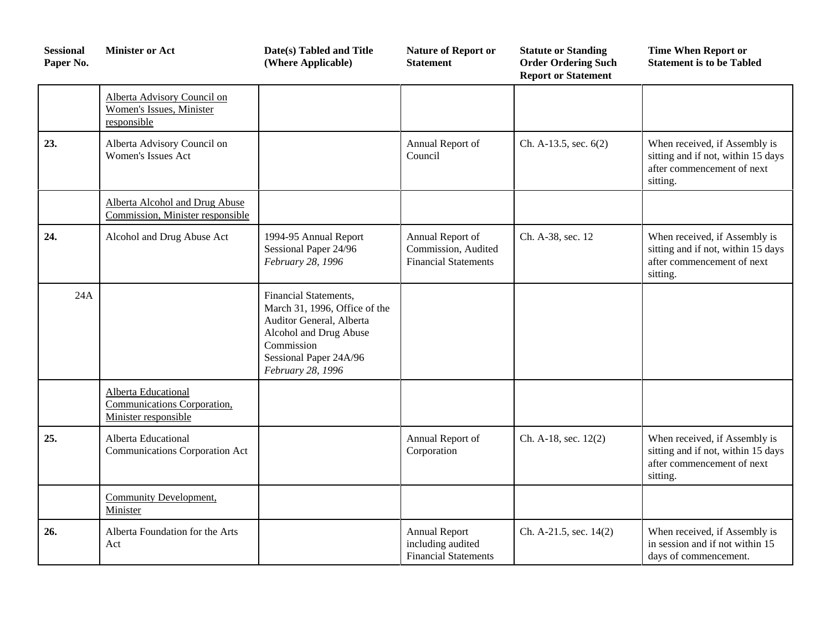| <b>Sessional</b><br>Paper No. | <b>Minister or Act</b>                                                            | Date(s) Tabled and Title<br>(Where Applicable)                                                                                                                            | <b>Nature of Report or</b><br><b>Statement</b>                           | <b>Statute or Standing</b><br><b>Order Ordering Such</b><br><b>Report or Statement</b> | <b>Time When Report or</b><br><b>Statement is to be Tabled</b>                                                |
|-------------------------------|-----------------------------------------------------------------------------------|---------------------------------------------------------------------------------------------------------------------------------------------------------------------------|--------------------------------------------------------------------------|----------------------------------------------------------------------------------------|---------------------------------------------------------------------------------------------------------------|
|                               | Alberta Advisory Council on<br>Women's Issues, Minister<br>responsible            |                                                                                                                                                                           |                                                                          |                                                                                        |                                                                                                               |
| 23.                           | Alberta Advisory Council on<br><b>Women's Issues Act</b>                          |                                                                                                                                                                           | Annual Report of<br>Council                                              | Ch. A-13.5, sec. $6(2)$                                                                | When received, if Assembly is<br>sitting and if not, within 15 days<br>after commencement of next<br>sitting. |
|                               | <b>Alberta Alcohol and Drug Abuse</b><br>Commission, Minister responsible         |                                                                                                                                                                           |                                                                          |                                                                                        |                                                                                                               |
| 24.                           | Alcohol and Drug Abuse Act                                                        | 1994-95 Annual Report<br>Sessional Paper 24/96<br>February 28, 1996                                                                                                       | Annual Report of<br>Commission, Audited<br><b>Financial Statements</b>   | Ch. A-38, sec. 12                                                                      | When received, if Assembly is<br>sitting and if not, within 15 days<br>after commencement of next<br>sitting. |
| 24A                           |                                                                                   | Financial Statements,<br>March 31, 1996, Office of the<br>Auditor General, Alberta<br>Alcohol and Drug Abuse<br>Commission<br>Sessional Paper 24A/96<br>February 28, 1996 |                                                                          |                                                                                        |                                                                                                               |
|                               | <b>Alberta Educational</b><br>Communications Corporation,<br>Minister responsible |                                                                                                                                                                           |                                                                          |                                                                                        |                                                                                                               |
| 25.                           | Alberta Educational<br>Communications Corporation Act                             |                                                                                                                                                                           | Annual Report of<br>Corporation                                          | Ch. A-18, sec. 12(2)                                                                   | When received, if Assembly is<br>sitting and if not, within 15 days<br>after commencement of next<br>sitting. |
|                               | <b>Community Development,</b><br>Minister                                         |                                                                                                                                                                           |                                                                          |                                                                                        |                                                                                                               |
| 26.                           | Alberta Foundation for the Arts<br>Act                                            |                                                                                                                                                                           | <b>Annual Report</b><br>including audited<br><b>Financial Statements</b> | Ch. A-21.5, sec. 14(2)                                                                 | When received, if Assembly is<br>in session and if not within 15<br>days of commencement.                     |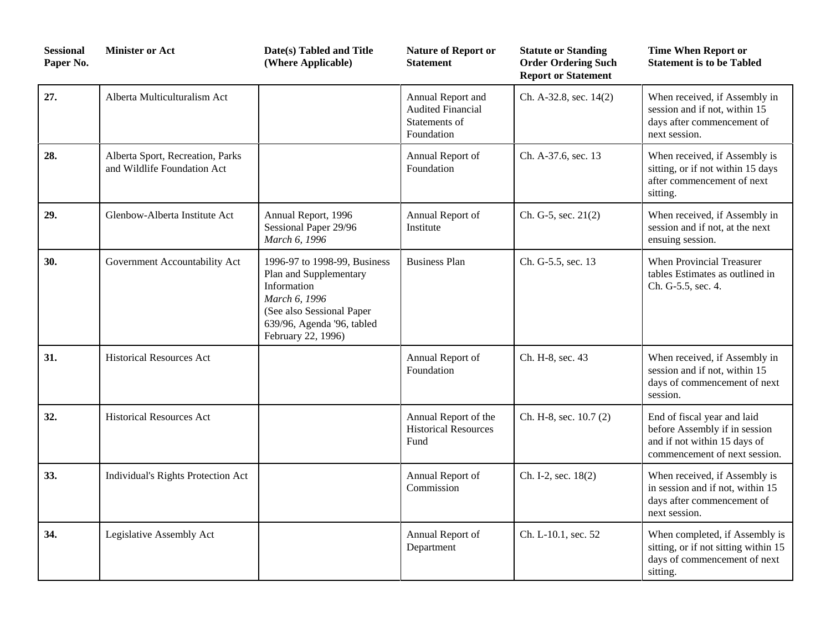| <b>Sessional</b><br>Paper No. | <b>Minister or Act</b>                                          | Date(s) Tabled and Title<br>(Where Applicable)                                                                                                                          | <b>Nature of Report or</b><br><b>Statement</b>                               | <b>Statute or Standing</b><br><b>Order Ordering Such</b><br><b>Report or Statement</b> | <b>Time When Report or</b><br><b>Statement is to be Tabled</b>                                                                |
|-------------------------------|-----------------------------------------------------------------|-------------------------------------------------------------------------------------------------------------------------------------------------------------------------|------------------------------------------------------------------------------|----------------------------------------------------------------------------------------|-------------------------------------------------------------------------------------------------------------------------------|
| 27.                           | Alberta Multiculturalism Act                                    |                                                                                                                                                                         | Annual Report and<br><b>Audited Financial</b><br>Statements of<br>Foundation | Ch. A-32.8, sec. 14(2)                                                                 | When received, if Assembly in<br>session and if not, within 15<br>days after commencement of<br>next session.                 |
| 28.                           | Alberta Sport, Recreation, Parks<br>and Wildlife Foundation Act |                                                                                                                                                                         | Annual Report of<br>Foundation                                               | Ch. A-37.6, sec. 13                                                                    | When received, if Assembly is<br>sitting, or if not within 15 days<br>after commencement of next<br>sitting.                  |
| 29.                           | Glenbow-Alberta Institute Act                                   | Annual Report, 1996<br>Sessional Paper 29/96<br>March 6, 1996                                                                                                           | Annual Report of<br>Institute                                                | Ch. G-5, sec. 21(2)                                                                    | When received, if Assembly in<br>session and if not, at the next<br>ensuing session.                                          |
| 30.                           | Government Accountability Act                                   | 1996-97 to 1998-99, Business<br>Plan and Supplementary<br>Information<br>March 6, 1996<br>(See also Sessional Paper<br>639/96, Agenda '96, tabled<br>February 22, 1996) | <b>Business Plan</b>                                                         | Ch. G-5.5, sec. 13                                                                     | When Provincial Treasurer<br>tables Estimates as outlined in<br>Ch. G-5.5, sec. 4.                                            |
| 31.                           | <b>Historical Resources Act</b>                                 |                                                                                                                                                                         | Annual Report of<br>Foundation                                               | Ch. H-8, sec. 43                                                                       | When received, if Assembly in<br>session and if not, within 15<br>days of commencement of next<br>session.                    |
| 32.                           | <b>Historical Resources Act</b>                                 |                                                                                                                                                                         | Annual Report of the<br><b>Historical Resources</b><br>Fund                  | Ch. H-8, sec. 10.7 (2)                                                                 | End of fiscal year and laid<br>before Assembly if in session<br>and if not within 15 days of<br>commencement of next session. |
| 33.                           | Individual's Rights Protection Act                              |                                                                                                                                                                         | Annual Report of<br>Commission                                               | Ch. I-2, sec. 18(2)                                                                    | When received, if Assembly is<br>in session and if not, within 15<br>days after commencement of<br>next session.              |
| 34.                           | Legislative Assembly Act                                        |                                                                                                                                                                         | Annual Report of<br>Department                                               | Ch. L-10.1, sec. 52                                                                    | When completed, if Assembly is<br>sitting, or if not sitting within 15<br>days of commencement of next<br>sitting.            |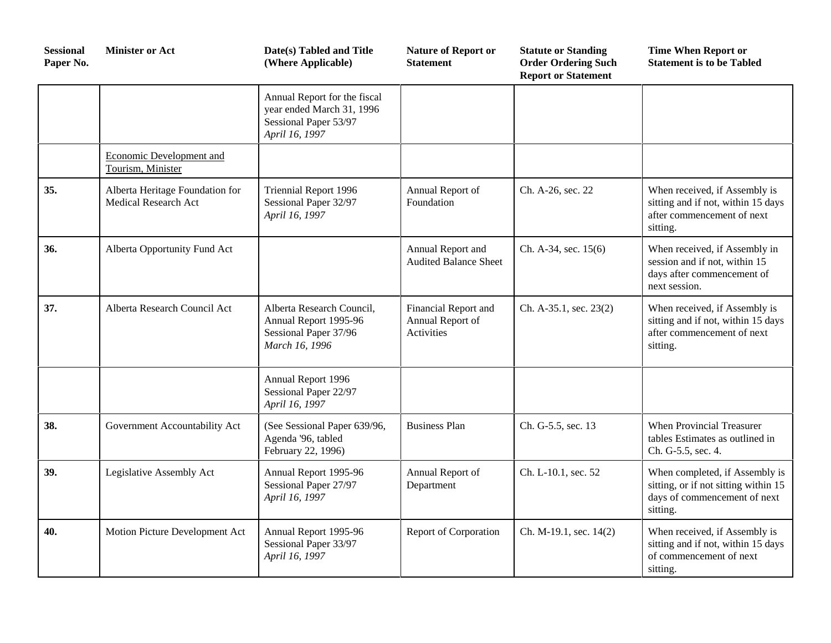| <b>Sessional</b><br>Paper No. | <b>Minister or Act</b>                                  | Date(s) Tabled and Title<br>(Where Applicable)                                                       | <b>Nature of Report or</b><br><b>Statement</b>                | <b>Statute or Standing</b><br><b>Order Ordering Such</b><br><b>Report or Statement</b> | <b>Time When Report or</b><br><b>Statement is to be Tabled</b>                                                     |
|-------------------------------|---------------------------------------------------------|------------------------------------------------------------------------------------------------------|---------------------------------------------------------------|----------------------------------------------------------------------------------------|--------------------------------------------------------------------------------------------------------------------|
|                               |                                                         | Annual Report for the fiscal<br>year ended March 31, 1996<br>Sessional Paper 53/97<br>April 16, 1997 |                                                               |                                                                                        |                                                                                                                    |
|                               | Economic Development and<br>Tourism, Minister           |                                                                                                      |                                                               |                                                                                        |                                                                                                                    |
| 35.                           | Alberta Heritage Foundation for<br>Medical Research Act | Triennial Report 1996<br>Sessional Paper 32/97<br>April 16, 1997                                     | Annual Report of<br>Foundation                                | Ch. A-26, sec. 22                                                                      | When received, if Assembly is<br>sitting and if not, within 15 days<br>after commencement of next<br>sitting.      |
| 36.                           | Alberta Opportunity Fund Act                            |                                                                                                      | Annual Report and<br><b>Audited Balance Sheet</b>             | Ch. A-34, sec. 15(6)                                                                   | When received, if Assembly in<br>session and if not, within 15<br>days after commencement of<br>next session.      |
| 37.                           | Alberta Research Council Act                            | Alberta Research Council,<br>Annual Report 1995-96<br>Sessional Paper 37/96<br>March 16, 1996        | Financial Report and<br>Annual Report of<br><b>Activities</b> | Ch. A-35.1, sec. 23(2)                                                                 | When received, if Assembly is<br>sitting and if not, within 15 days<br>after commencement of next<br>sitting.      |
|                               |                                                         | Annual Report 1996<br>Sessional Paper 22/97<br>April 16, 1997                                        |                                                               |                                                                                        |                                                                                                                    |
| 38.                           | Government Accountability Act                           | (See Sessional Paper 639/96,<br>Agenda '96, tabled<br>February 22, 1996)                             | <b>Business Plan</b>                                          | Ch. G-5.5, sec. 13                                                                     | <b>When Provincial Treasurer</b><br>tables Estimates as outlined in<br>Ch. G-5.5, sec. 4.                          |
| 39.                           | Legislative Assembly Act                                | Annual Report 1995-96<br>Sessional Paper 27/97<br>April 16, 1997                                     | Annual Report of<br>Department                                | Ch. L-10.1, sec. 52                                                                    | When completed, if Assembly is<br>sitting, or if not sitting within 15<br>days of commencement of next<br>sitting. |
| 40.                           | Motion Picture Development Act                          | Annual Report 1995-96<br>Sessional Paper 33/97<br>April 16, 1997                                     | Report of Corporation                                         | Ch. M-19.1, sec. 14(2)                                                                 | When received, if Assembly is<br>sitting and if not, within 15 days<br>of commencement of next<br>sitting.         |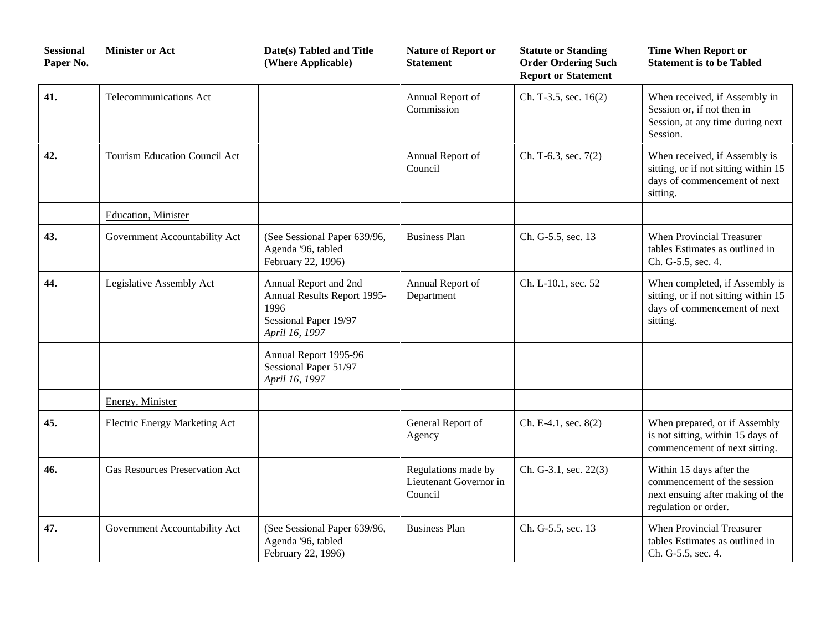| <b>Sessional</b><br>Paper No. | <b>Minister or Act</b>                | Date(s) Tabled and Title<br>(Where Applicable)                                                          | <b>Nature of Report or</b><br>Statement                  | <b>Statute or Standing</b><br><b>Order Ordering Such</b><br><b>Report or Statement</b> | <b>Time When Report or</b><br><b>Statement is to be Tabled</b>                                                      |
|-------------------------------|---------------------------------------|---------------------------------------------------------------------------------------------------------|----------------------------------------------------------|----------------------------------------------------------------------------------------|---------------------------------------------------------------------------------------------------------------------|
| 41.                           | <b>Telecommunications Act</b>         |                                                                                                         | Annual Report of<br>Commission                           | Ch. T-3.5, sec. 16(2)                                                                  | When received, if Assembly in<br>Session or, if not then in<br>Session, at any time during next<br>Session.         |
| 42.                           | <b>Tourism Education Council Act</b>  |                                                                                                         | Annual Report of<br>Council                              | Ch. T-6.3, sec. 7(2)                                                                   | When received, if Assembly is<br>sitting, or if not sitting within 15<br>days of commencement of next<br>sitting.   |
|                               | Education, Minister                   |                                                                                                         |                                                          |                                                                                        |                                                                                                                     |
| 43.                           | Government Accountability Act         | (See Sessional Paper 639/96,<br>Agenda '96, tabled<br>February 22, 1996)                                | <b>Business Plan</b>                                     | Ch. G-5.5, sec. 13                                                                     | When Provincial Treasurer<br>tables Estimates as outlined in<br>Ch. G-5.5, sec. 4.                                  |
| 44.                           | Legislative Assembly Act              | Annual Report and 2nd<br>Annual Results Report 1995-<br>1996<br>Sessional Paper 19/97<br>April 16, 1997 | Annual Report of<br>Department                           | Ch. L-10.1, sec. 52                                                                    | When completed, if Assembly is<br>sitting, or if not sitting within 15<br>days of commencement of next<br>sitting.  |
|                               |                                       | Annual Report 1995-96<br>Sessional Paper 51/97<br>April 16, 1997                                        |                                                          |                                                                                        |                                                                                                                     |
|                               | Energy, Minister                      |                                                                                                         |                                                          |                                                                                        |                                                                                                                     |
| 45.                           | <b>Electric Energy Marketing Act</b>  |                                                                                                         | General Report of<br>Agency                              | Ch. E-4.1, sec. 8(2)                                                                   | When prepared, or if Assembly<br>is not sitting, within 15 days of<br>commencement of next sitting.                 |
| 46.                           | <b>Gas Resources Preservation Act</b> |                                                                                                         | Regulations made by<br>Lieutenant Governor in<br>Council | Ch. G-3.1, sec. 22(3)                                                                  | Within 15 days after the<br>commencement of the session<br>next ensuing after making of the<br>regulation or order. |
| 47.                           | Government Accountability Act         | (See Sessional Paper 639/96,<br>Agenda '96, tabled<br>February 22, 1996)                                | <b>Business Plan</b>                                     | Ch. G-5.5, sec. 13                                                                     | When Provincial Treasurer<br>tables Estimates as outlined in<br>Ch. G-5.5, sec. 4.                                  |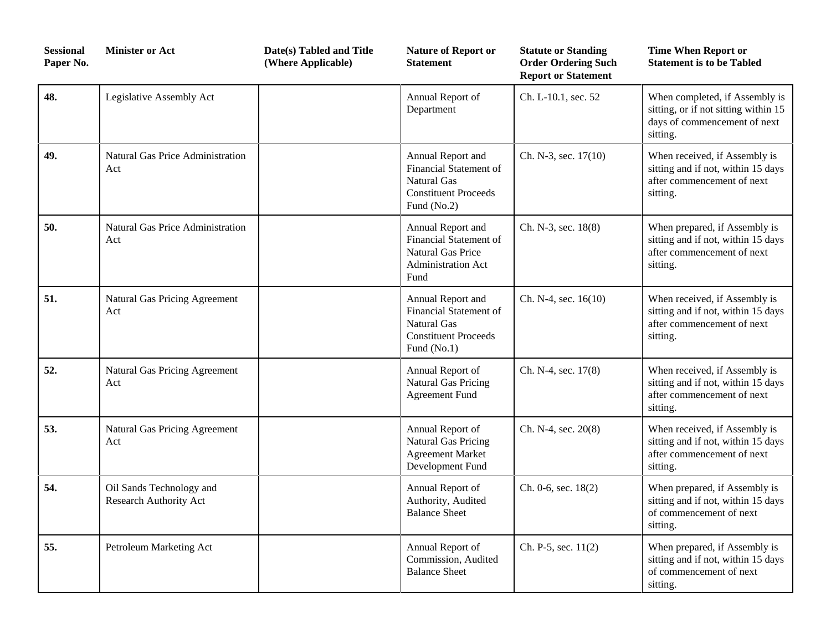| <b>Sessional</b><br>Paper No. | <b>Minister or Act</b>                             | Date(s) Tabled and Title<br>(Where Applicable) | <b>Nature of Report or</b><br><b>Statement</b>                                                           | <b>Statute or Standing</b><br><b>Order Ordering Such</b><br><b>Report or Statement</b> | <b>Time When Report or</b><br><b>Statement is to be Tabled</b>                                                     |
|-------------------------------|----------------------------------------------------|------------------------------------------------|----------------------------------------------------------------------------------------------------------|----------------------------------------------------------------------------------------|--------------------------------------------------------------------------------------------------------------------|
| 48.                           | Legislative Assembly Act                           |                                                | Annual Report of<br>Department                                                                           | Ch. L-10.1, sec. 52                                                                    | When completed, if Assembly is<br>sitting, or if not sitting within 15<br>days of commencement of next<br>sitting. |
| 49.                           | Natural Gas Price Administration<br>Act            |                                                | Annual Report and<br>Financial Statement of<br>Natural Gas<br><b>Constituent Proceeds</b><br>Fund (No.2) | Ch. N-3, sec. 17(10)                                                                   | When received, if Assembly is<br>sitting and if not, within 15 days<br>after commencement of next<br>sitting.      |
| 50.                           | <b>Natural Gas Price Administration</b><br>Act     |                                                | Annual Report and<br>Financial Statement of<br><b>Natural Gas Price</b><br>Administration Act<br>Fund    | Ch. N-3, sec. 18(8)                                                                    | When prepared, if Assembly is<br>sitting and if not, within 15 days<br>after commencement of next<br>sitting.      |
| 51.                           | Natural Gas Pricing Agreement<br>Act               |                                                | Annual Report and<br>Financial Statement of<br>Natural Gas<br><b>Constituent Proceeds</b><br>Fund (No.1) | Ch. N-4, sec. $16(10)$                                                                 | When received, if Assembly is<br>sitting and if not, within 15 days<br>after commencement of next<br>sitting.      |
| 52.                           | Natural Gas Pricing Agreement<br>Act               |                                                | Annual Report of<br>Natural Gas Pricing<br><b>Agreement Fund</b>                                         | Ch. N-4, sec. 17(8)                                                                    | When received, if Assembly is<br>sitting and if not, within 15 days<br>after commencement of next<br>sitting.      |
| 53.                           | Natural Gas Pricing Agreement<br>Act               |                                                | Annual Report of<br>Natural Gas Pricing<br><b>Agreement Market</b><br>Development Fund                   | Ch. N-4, sec. 20(8)                                                                    | When received, if Assembly is<br>sitting and if not, within 15 days<br>after commencement of next<br>sitting.      |
| 54.                           | Oil Sands Technology and<br>Research Authority Act |                                                | Annual Report of<br>Authority, Audited<br><b>Balance Sheet</b>                                           | Ch. 0-6, sec. 18(2)                                                                    | When prepared, if Assembly is<br>sitting and if not, within 15 days<br>of commencement of next<br>sitting.         |
| 55.                           | Petroleum Marketing Act                            |                                                | Annual Report of<br>Commission, Audited<br><b>Balance Sheet</b>                                          | Ch. P-5, sec. $11(2)$                                                                  | When prepared, if Assembly is<br>sitting and if not, within 15 days<br>of commencement of next<br>sitting.         |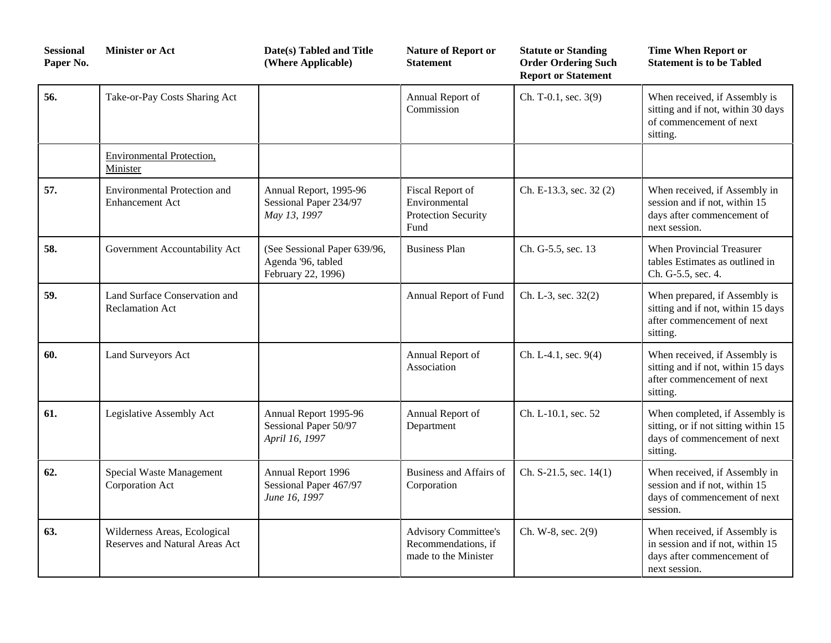| <b>Sessional</b><br>Paper No. | <b>Minister or Act</b>                                         | Date(s) Tabled and Title<br>(Where Applicable)                           | <b>Nature of Report or</b><br><b>Statement</b>                             | <b>Statute or Standing</b><br><b>Order Ordering Such</b><br><b>Report or Statement</b> | <b>Time When Report or</b><br><b>Statement is to be Tabled</b>                                                     |
|-------------------------------|----------------------------------------------------------------|--------------------------------------------------------------------------|----------------------------------------------------------------------------|----------------------------------------------------------------------------------------|--------------------------------------------------------------------------------------------------------------------|
| 56.                           | Take-or-Pay Costs Sharing Act                                  |                                                                          | Annual Report of<br>Commission                                             | Ch. T-0.1, sec. 3(9)                                                                   | When received, if Assembly is<br>sitting and if not, within 30 days<br>of commencement of next<br>sitting.         |
|                               | <b>Environmental Protection,</b><br>Minister                   |                                                                          |                                                                            |                                                                                        |                                                                                                                    |
| 57.                           | <b>Environmental Protection and</b><br><b>Enhancement Act</b>  | Annual Report, 1995-96<br>Sessional Paper 234/97<br>May 13, 1997         | Fiscal Report of<br>Environmental<br>Protection Security<br>Fund           | Ch. E-13.3, sec. 32 (2)                                                                | When received, if Assembly in<br>session and if not, within 15<br>days after commencement of<br>next session.      |
| 58.                           | Government Accountability Act                                  | (See Sessional Paper 639/96,<br>Agenda '96, tabled<br>February 22, 1996) | <b>Business Plan</b>                                                       | Ch. G-5.5, sec. 13                                                                     | When Provincial Treasurer<br>tables Estimates as outlined in<br>Ch. G-5.5, sec. 4.                                 |
| 59.                           | Land Surface Conservation and<br><b>Reclamation Act</b>        |                                                                          | Annual Report of Fund                                                      | Ch. L-3, sec. 32(2)                                                                    | When prepared, if Assembly is<br>sitting and if not, within 15 days<br>after commencement of next<br>sitting.      |
| 60.                           | Land Surveyors Act                                             |                                                                          | Annual Report of<br>Association                                            | Ch. L-4.1, sec. $9(4)$                                                                 | When received, if Assembly is<br>sitting and if not, within 15 days<br>after commencement of next<br>sitting.      |
| 61.                           | Legislative Assembly Act                                       | Annual Report 1995-96<br>Sessional Paper 50/97<br>April 16, 1997         | Annual Report of<br>Department                                             | Ch. L-10.1, sec. 52                                                                    | When completed, if Assembly is<br>sitting, or if not sitting within 15<br>days of commencement of next<br>sitting. |
| 62.                           | Special Waste Management<br>Corporation Act                    | Annual Report 1996<br>Sessional Paper 467/97<br>June 16, 1997            | Business and Affairs of<br>Corporation                                     | Ch. S-21.5, sec. $14(1)$                                                               | When received, if Assembly in<br>session and if not, within 15<br>days of commencement of next<br>session.         |
| 63.                           | Wilderness Areas, Ecological<br>Reserves and Natural Areas Act |                                                                          | <b>Advisory Committee's</b><br>Recommendations, if<br>made to the Minister | Ch. W-8, sec. 2(9)                                                                     | When received, if Assembly is<br>in session and if not, within 15<br>days after commencement of<br>next session.   |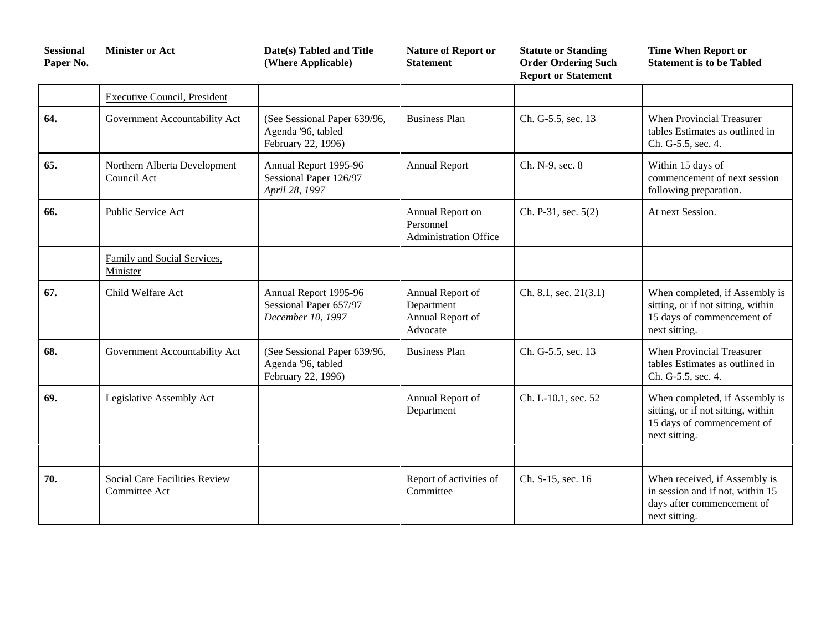| <b>Sessional</b><br>Paper No. | <b>Minister or Act</b>                         | Date(s) Tabled and Title<br>(Where Applicable)                           | <b>Nature of Report or</b><br><b>Statement</b>                 | <b>Statute or Standing</b><br><b>Order Ordering Such</b><br><b>Report or Statement</b> | <b>Time When Report or</b><br><b>Statement is to be Tabled</b>                                                      |
|-------------------------------|------------------------------------------------|--------------------------------------------------------------------------|----------------------------------------------------------------|----------------------------------------------------------------------------------------|---------------------------------------------------------------------------------------------------------------------|
|                               | <b>Executive Council, President</b>            |                                                                          |                                                                |                                                                                        |                                                                                                                     |
| 64.                           | Government Accountability Act                  | (See Sessional Paper 639/96,<br>Agenda '96, tabled<br>February 22, 1996) | <b>Business Plan</b>                                           | Ch. G-5.5, sec. 13                                                                     | When Provincial Treasurer<br>tables Estimates as outlined in<br>Ch. G-5.5, sec. 4.                                  |
| 65.                           | Northern Alberta Development<br>Council Act    | Annual Report 1995-96<br>Sessional Paper 126/97<br>April 28, 1997        | <b>Annual Report</b>                                           | Ch. N-9, sec. 8                                                                        | Within 15 days of<br>commencement of next session<br>following preparation.                                         |
| 66.                           | Public Service Act                             |                                                                          | Annual Report on<br>Personnel<br><b>Administration Office</b>  | Ch. P-31, sec. 5(2)                                                                    | At next Session.                                                                                                    |
|                               | Family and Social Services,<br>Minister        |                                                                          |                                                                |                                                                                        |                                                                                                                     |
| 67.                           | Child Welfare Act                              | Annual Report 1995-96<br>Sessional Paper 657/97<br>December 10, 1997     | Annual Report of<br>Department<br>Annual Report of<br>Advocate | Ch. 8.1, sec. $21(3.1)$                                                                | When completed, if Assembly is<br>sitting, or if not sitting, within<br>15 days of commencement of<br>next sitting. |
| 68.                           | Government Accountability Act                  | (See Sessional Paper 639/96,<br>Agenda '96, tabled<br>February 22, 1996) | <b>Business Plan</b>                                           | Ch. G-5.5, sec. 13                                                                     | <b>When Provincial Treasurer</b><br>tables Estimates as outlined in<br>Ch. G-5.5, sec. 4.                           |
| 69.                           | Legislative Assembly Act                       |                                                                          | Annual Report of<br>Department                                 | Ch. L-10.1, sec. 52                                                                    | When completed, if Assembly is<br>sitting, or if not sitting, within<br>15 days of commencement of<br>next sitting. |
|                               |                                                |                                                                          |                                                                |                                                                                        |                                                                                                                     |
| 70.                           | Social Care Facilities Review<br>Committee Act |                                                                          | Report of activities of<br>Committee                           | Ch. S-15, sec. 16                                                                      | When received, if Assembly is<br>in session and if not, within 15<br>days after commencement of<br>next sitting.    |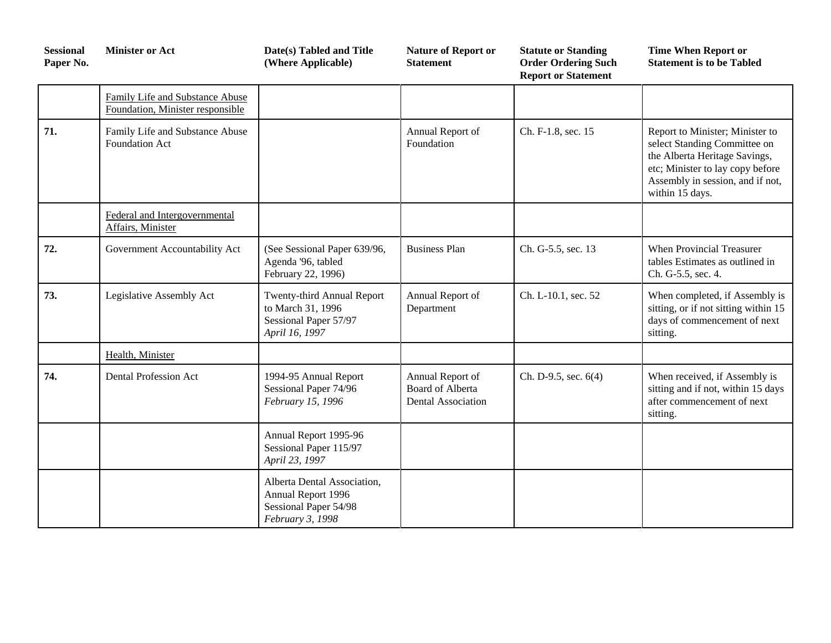| <b>Sessional</b><br>Paper No. | <b>Minister or Act</b>                                              | Date(s) Tabled and Title<br>(Where Applicable)                                                 | <b>Nature of Report or</b><br><b>Statement</b>                           | <b>Statute or Standing</b><br><b>Order Ordering Such</b><br><b>Report or Statement</b> | <b>Time When Report or</b><br><b>Statement is to be Tabled</b>                                                                                                                              |
|-------------------------------|---------------------------------------------------------------------|------------------------------------------------------------------------------------------------|--------------------------------------------------------------------------|----------------------------------------------------------------------------------------|---------------------------------------------------------------------------------------------------------------------------------------------------------------------------------------------|
|                               | Family Life and Substance Abuse<br>Foundation, Minister responsible |                                                                                                |                                                                          |                                                                                        |                                                                                                                                                                                             |
| 71.                           | Family Life and Substance Abuse<br>Foundation Act                   |                                                                                                | Annual Report of<br>Foundation                                           | Ch. F-1.8, sec. 15                                                                     | Report to Minister; Minister to<br>select Standing Committee on<br>the Alberta Heritage Savings,<br>etc; Minister to lay copy before<br>Assembly in session, and if not,<br>within 15 days. |
|                               | Federal and Intergovernmental<br>Affairs, Minister                  |                                                                                                |                                                                          |                                                                                        |                                                                                                                                                                                             |
| 72.                           | Government Accountability Act                                       | (See Sessional Paper 639/96,<br>Agenda '96, tabled<br>February 22, 1996)                       | <b>Business Plan</b>                                                     | Ch. G-5.5, sec. 13                                                                     | When Provincial Treasurer<br>tables Estimates as outlined in<br>Ch. G-5.5, sec. 4.                                                                                                          |
| 73.                           | Legislative Assembly Act                                            | Twenty-third Annual Report<br>to March 31, 1996<br>Sessional Paper 57/97<br>April 16, 1997     | Annual Report of<br>Department                                           | Ch. L-10.1, sec. 52                                                                    | When completed, if Assembly is<br>sitting, or if not sitting within 15<br>days of commencement of next<br>sitting.                                                                          |
|                               | Health, Minister                                                    |                                                                                                |                                                                          |                                                                                        |                                                                                                                                                                                             |
| 74.                           | <b>Dental Profession Act</b>                                        | 1994-95 Annual Report<br>Sessional Paper 74/96<br>February 15, 1996                            | Annual Report of<br><b>Board of Alberta</b><br><b>Dental Association</b> | Ch. D-9.5, sec. 6(4)                                                                   | When received, if Assembly is<br>sitting and if not, within 15 days<br>after commencement of next<br>sitting.                                                                               |
|                               |                                                                     | Annual Report 1995-96<br>Sessional Paper 115/97<br>April 23, 1997                              |                                                                          |                                                                                        |                                                                                                                                                                                             |
|                               |                                                                     | Alberta Dental Association,<br>Annual Report 1996<br>Sessional Paper 54/98<br>February 3, 1998 |                                                                          |                                                                                        |                                                                                                                                                                                             |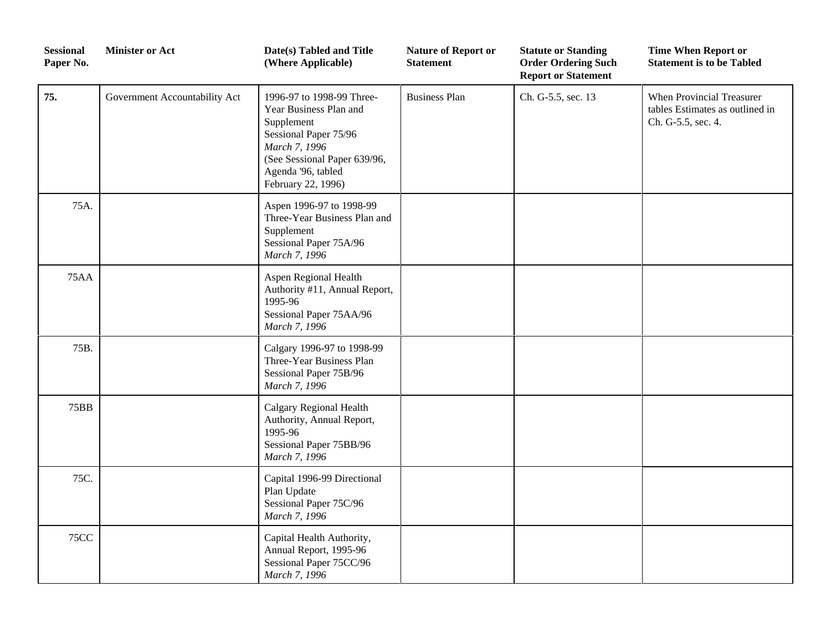| <b>Sessional</b><br>Paper No. | <b>Minister or Act</b>        | Date(s) Tabled and Title<br>(Where Applicable)                                                                                                                                          | <b>Nature of Report or</b><br><b>Statement</b> | <b>Statute or Standing</b><br><b>Order Ordering Such</b><br><b>Report or Statement</b> | <b>Time When Report or</b><br><b>Statement is to be Tabled</b>                     |
|-------------------------------|-------------------------------|-----------------------------------------------------------------------------------------------------------------------------------------------------------------------------------------|------------------------------------------------|----------------------------------------------------------------------------------------|------------------------------------------------------------------------------------|
| 75.                           | Government Accountability Act | 1996-97 to 1998-99 Three-<br>Year Business Plan and<br>Supplement<br>Sessional Paper 75/96<br>March 7, 1996<br>(See Sessional Paper 639/96,<br>Agenda '96, tabled<br>February 22, 1996) | <b>Business Plan</b>                           | Ch. G-5.5, sec. 13                                                                     | When Provincial Treasurer<br>tables Estimates as outlined in<br>Ch. G-5.5, sec. 4. |
| 75A.                          |                               | Aspen 1996-97 to 1998-99<br>Three-Year Business Plan and<br>Supplement<br>Sessional Paper 75A/96<br>March 7, 1996                                                                       |                                                |                                                                                        |                                                                                    |
| <b>75AA</b>                   |                               | Aspen Regional Health<br>Authority #11, Annual Report,<br>1995-96<br>Sessional Paper 75AA/96<br>March 7, 1996                                                                           |                                                |                                                                                        |                                                                                    |
| 75B.                          |                               | Calgary 1996-97 to 1998-99<br>Three-Year Business Plan<br>Sessional Paper 75B/96<br>March 7, 1996                                                                                       |                                                |                                                                                        |                                                                                    |
| <b>75BB</b>                   |                               | <b>Calgary Regional Health</b><br>Authority, Annual Report,<br>1995-96<br>Sessional Paper 75BB/96<br>March 7, 1996                                                                      |                                                |                                                                                        |                                                                                    |
| 75C.                          |                               | Capital 1996-99 Directional<br>Plan Update<br>Sessional Paper 75C/96<br>March 7, 1996                                                                                                   |                                                |                                                                                        |                                                                                    |
| <b>75CC</b>                   |                               | Capital Health Authority,<br>Annual Report, 1995-96<br>Sessional Paper 75CC/96<br>March 7, 1996                                                                                         |                                                |                                                                                        |                                                                                    |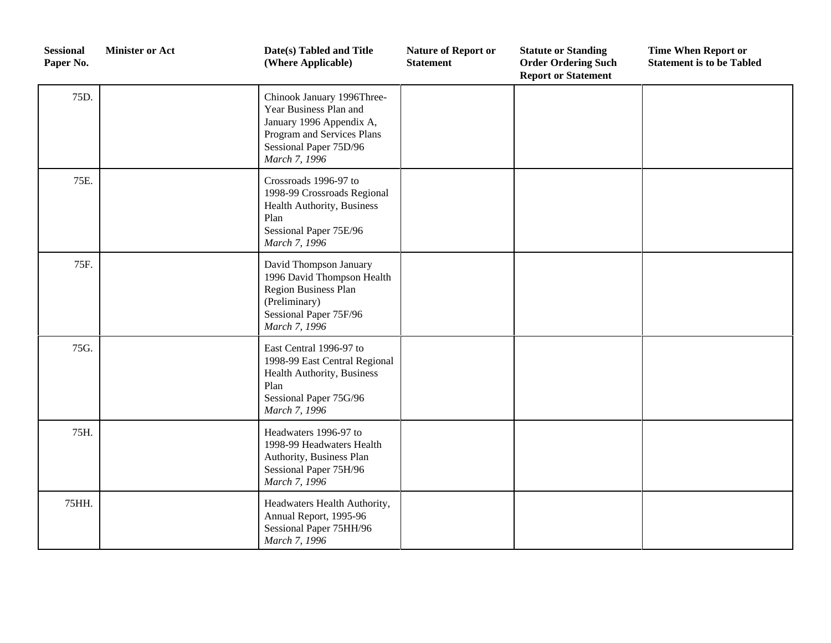| <b>Sessional</b><br>Paper No. | <b>Minister or Act</b> | Date(s) Tabled and Title<br>(Where Applicable)                                                                                                            | <b>Nature of Report or</b><br><b>Statement</b> | <b>Statute or Standing</b><br><b>Order Ordering Such</b><br><b>Report or Statement</b> | <b>Time When Report or</b><br><b>Statement is to be Tabled</b> |
|-------------------------------|------------------------|-----------------------------------------------------------------------------------------------------------------------------------------------------------|------------------------------------------------|----------------------------------------------------------------------------------------|----------------------------------------------------------------|
| 75D.                          |                        | Chinook January 1996Three-<br>Year Business Plan and<br>January 1996 Appendix A,<br>Program and Services Plans<br>Sessional Paper 75D/96<br>March 7, 1996 |                                                |                                                                                        |                                                                |
| 75E.                          |                        | Crossroads 1996-97 to<br>1998-99 Crossroads Regional<br>Health Authority, Business<br>Plan<br>Sessional Paper 75E/96<br>March 7, 1996                     |                                                |                                                                                        |                                                                |
| 75F.                          |                        | David Thompson January<br>1996 David Thompson Health<br>Region Business Plan<br>(Preliminary)<br>Sessional Paper 75F/96<br>March 7, 1996                  |                                                |                                                                                        |                                                                |
| 75G.                          |                        | East Central 1996-97 to<br>1998-99 East Central Regional<br>Health Authority, Business<br>Plan<br>Sessional Paper 75G/96<br>March 7, 1996                 |                                                |                                                                                        |                                                                |
| 75H.                          |                        | Headwaters 1996-97 to<br>1998-99 Headwaters Health<br>Authority, Business Plan<br>Sessional Paper 75H/96<br>March 7, 1996                                 |                                                |                                                                                        |                                                                |
| 75HH.                         |                        | Headwaters Health Authority,<br>Annual Report, 1995-96<br>Sessional Paper 75HH/96<br>March 7, 1996                                                        |                                                |                                                                                        |                                                                |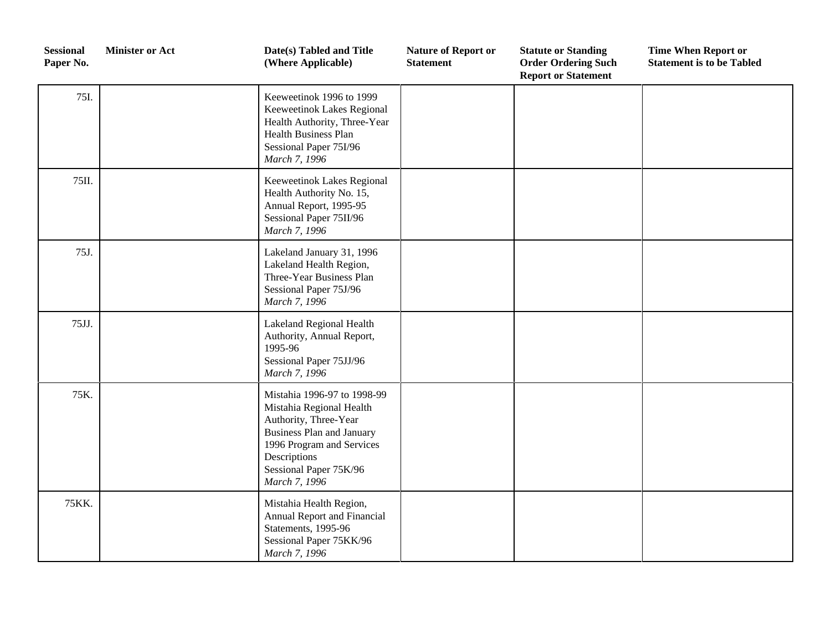| <b>Sessional</b><br>Paper No. | <b>Minister or Act</b> | Date(s) Tabled and Title<br>(Where Applicable)                                                                                                                                                               | <b>Nature of Report or</b><br><b>Statement</b> | <b>Statute or Standing</b><br><b>Order Ordering Such</b><br><b>Report or Statement</b> | <b>Time When Report or</b><br><b>Statement is to be Tabled</b> |
|-------------------------------|------------------------|--------------------------------------------------------------------------------------------------------------------------------------------------------------------------------------------------------------|------------------------------------------------|----------------------------------------------------------------------------------------|----------------------------------------------------------------|
| 75I.                          |                        | Keeweetinok 1996 to 1999<br>Keeweetinok Lakes Regional<br>Health Authority, Three-Year<br>Health Business Plan<br>Sessional Paper 75I/96<br>March 7, 1996                                                    |                                                |                                                                                        |                                                                |
| 75II.                         |                        | Keeweetinok Lakes Regional<br>Health Authority No. 15,<br>Annual Report, 1995-95<br>Sessional Paper 75II/96<br>March 7, 1996                                                                                 |                                                |                                                                                        |                                                                |
| 75J.                          |                        | Lakeland January 31, 1996<br>Lakeland Health Region,<br>Three-Year Business Plan<br>Sessional Paper 75J/96<br>March 7, 1996                                                                                  |                                                |                                                                                        |                                                                |
| 75JJ.                         |                        | Lakeland Regional Health<br>Authority, Annual Report,<br>1995-96<br>Sessional Paper 75JJ/96<br>March 7, 1996                                                                                                 |                                                |                                                                                        |                                                                |
| 75K.                          |                        | Mistahia 1996-97 to 1998-99<br>Mistahia Regional Health<br>Authority, Three-Year<br><b>Business Plan and January</b><br>1996 Program and Services<br>Descriptions<br>Sessional Paper 75K/96<br>March 7, 1996 |                                                |                                                                                        |                                                                |
| 75KK.                         |                        | Mistahia Health Region,<br>Annual Report and Financial<br>Statements, 1995-96<br>Sessional Paper 75KK/96<br>March 7, 1996                                                                                    |                                                |                                                                                        |                                                                |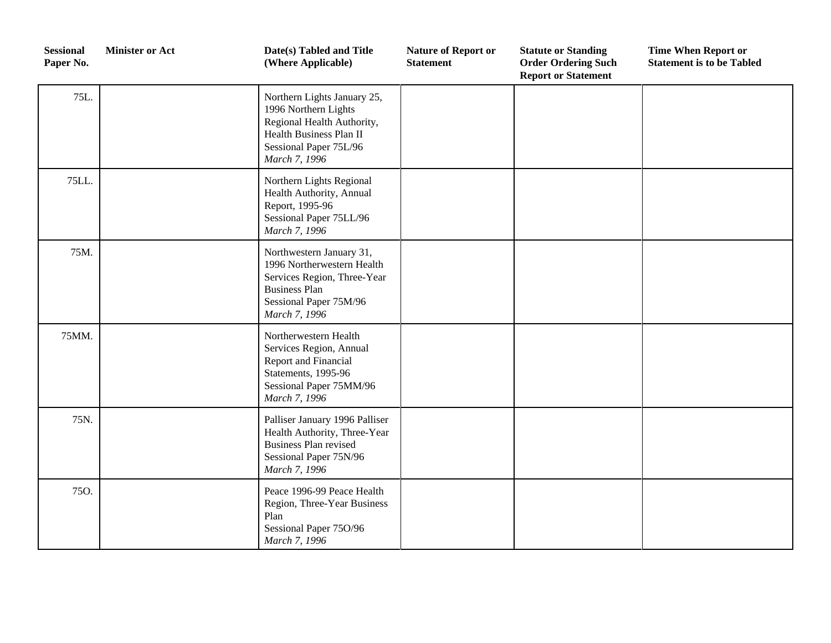| <b>Sessional</b><br>Paper No. | <b>Minister or Act</b> | Date(s) Tabled and Title<br>(Where Applicable)                                                                                                           | <b>Nature of Report or</b><br><b>Statement</b> | <b>Statute or Standing</b><br><b>Order Ordering Such</b><br><b>Report or Statement</b> | <b>Time When Report or</b><br><b>Statement is to be Tabled</b> |
|-------------------------------|------------------------|----------------------------------------------------------------------------------------------------------------------------------------------------------|------------------------------------------------|----------------------------------------------------------------------------------------|----------------------------------------------------------------|
| 75L.                          |                        | Northern Lights January 25,<br>1996 Northern Lights<br>Regional Health Authority,<br>Health Business Plan II<br>Sessional Paper 75L/96<br>March 7, 1996  |                                                |                                                                                        |                                                                |
| 75LL.                         |                        | Northern Lights Regional<br>Health Authority, Annual<br>Report, 1995-96<br>Sessional Paper 75LL/96<br>March 7, 1996                                      |                                                |                                                                                        |                                                                |
| 75M.                          |                        | Northwestern January 31,<br>1996 Northerwestern Health<br>Services Region, Three-Year<br><b>Business Plan</b><br>Sessional Paper 75M/96<br>March 7, 1996 |                                                |                                                                                        |                                                                |
| 75MM.                         |                        | Northerwestern Health<br>Services Region, Annual<br>Report and Financial<br>Statements, 1995-96<br>Sessional Paper 75MM/96<br>March 7, 1996              |                                                |                                                                                        |                                                                |
| 75N.                          |                        | Palliser January 1996 Palliser<br>Health Authority, Three-Year<br><b>Business Plan revised</b><br>Sessional Paper 75N/96<br>March 7, 1996                |                                                |                                                                                        |                                                                |
| 75O.                          |                        | Peace 1996-99 Peace Health<br>Region, Three-Year Business<br>Plan<br>Sessional Paper 75O/96<br>March 7, 1996                                             |                                                |                                                                                        |                                                                |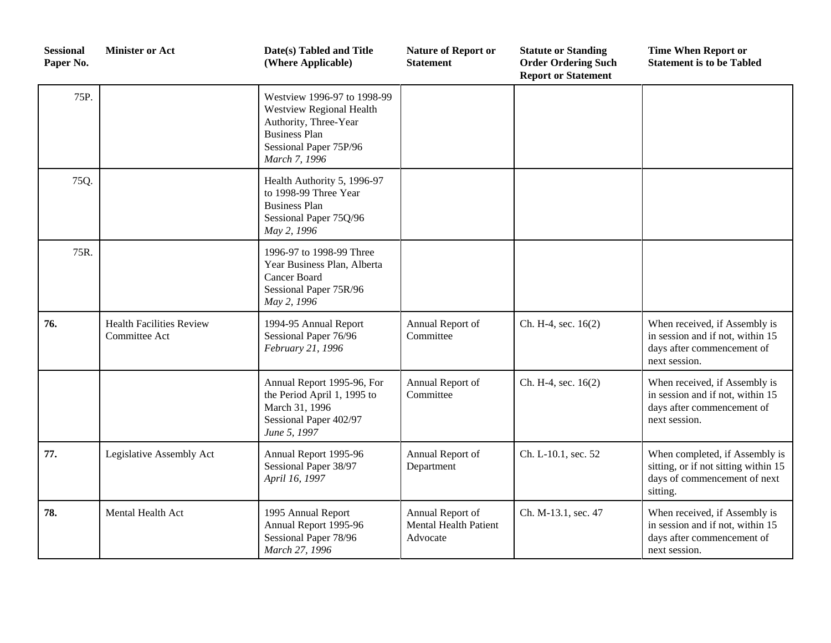| <b>Sessional</b><br>Paper No. | <b>Minister or Act</b>                           | Date(s) Tabled and Title<br>(Where Applicable)                                                                                                      | <b>Nature of Report or</b><br><b>Statement</b>               | <b>Statute or Standing</b><br><b>Order Ordering Such</b><br><b>Report or Statement</b> | <b>Time When Report or</b><br><b>Statement is to be Tabled</b>                                                     |
|-------------------------------|--------------------------------------------------|-----------------------------------------------------------------------------------------------------------------------------------------------------|--------------------------------------------------------------|----------------------------------------------------------------------------------------|--------------------------------------------------------------------------------------------------------------------|
| 75P.                          |                                                  | Westview 1996-97 to 1998-99<br>Westview Regional Health<br>Authority, Three-Year<br><b>Business Plan</b><br>Sessional Paper 75P/96<br>March 7, 1996 |                                                              |                                                                                        |                                                                                                                    |
| 75Q.                          |                                                  | Health Authority 5, 1996-97<br>to 1998-99 Three Year<br><b>Business Plan</b><br>Sessional Paper 75Q/96<br>May 2, 1996                               |                                                              |                                                                                        |                                                                                                                    |
| 75R.                          |                                                  | 1996-97 to 1998-99 Three<br>Year Business Plan, Alberta<br>Cancer Board<br>Sessional Paper 75R/96<br>May 2, 1996                                    |                                                              |                                                                                        |                                                                                                                    |
| 76.                           | <b>Health Facilities Review</b><br>Committee Act | 1994-95 Annual Report<br>Sessional Paper 76/96<br>February 21, 1996                                                                                 | Annual Report of<br>Committee                                | Ch. H-4, sec. 16(2)                                                                    | When received, if Assembly is<br>in session and if not, within 15<br>days after commencement of<br>next session.   |
|                               |                                                  | Annual Report 1995-96, For<br>the Period April 1, 1995 to<br>March 31, 1996<br>Sessional Paper 402/97<br>June 5, 1997                               | Annual Report of<br>Committee                                | Ch. H-4, sec. 16(2)                                                                    | When received, if Assembly is<br>in session and if not, within 15<br>days after commencement of<br>next session.   |
| 77.                           | Legislative Assembly Act                         | Annual Report 1995-96<br>Sessional Paper 38/97<br>April 16, 1997                                                                                    | Annual Report of<br>Department                               | Ch. L-10.1, sec. 52                                                                    | When completed, if Assembly is<br>sitting, or if not sitting within 15<br>days of commencement of next<br>sitting. |
| 78.                           | Mental Health Act                                | 1995 Annual Report<br>Annual Report 1995-96<br>Sessional Paper 78/96<br>March 27, 1996                                                              | Annual Report of<br><b>Mental Health Patient</b><br>Advocate | Ch. M-13.1, sec. 47                                                                    | When received, if Assembly is<br>in session and if not, within 15<br>days after commencement of<br>next session.   |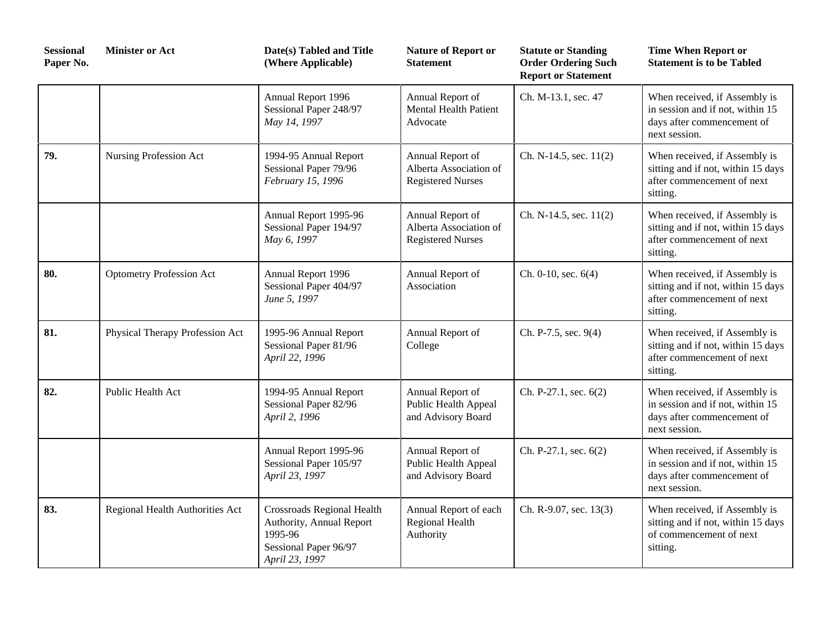| <b>Sessional</b><br>Paper No. | <b>Minister or Act</b>          | Date(s) Tabled and Title<br>(Where Applicable)                                                                      | <b>Nature of Report or</b><br><b>Statement</b>                         | <b>Statute or Standing</b><br><b>Order Ordering Such</b><br><b>Report or Statement</b> | <b>Time When Report or</b><br><b>Statement is to be Tabled</b>                                                   |
|-------------------------------|---------------------------------|---------------------------------------------------------------------------------------------------------------------|------------------------------------------------------------------------|----------------------------------------------------------------------------------------|------------------------------------------------------------------------------------------------------------------|
|                               |                                 | Annual Report 1996<br>Sessional Paper 248/97<br>May 14, 1997                                                        | Annual Report of<br><b>Mental Health Patient</b><br>Advocate           | Ch. M-13.1, sec. 47                                                                    | When received, if Assembly is<br>in session and if not, within 15<br>days after commencement of<br>next session. |
| 79.                           | Nursing Profession Act          | 1994-95 Annual Report<br>Sessional Paper 79/96<br>February 15, 1996                                                 | Annual Report of<br>Alberta Association of<br><b>Registered Nurses</b> | Ch. N-14.5, sec. 11(2)                                                                 | When received, if Assembly is<br>sitting and if not, within 15 days<br>after commencement of next<br>sitting.    |
|                               |                                 | Annual Report 1995-96<br>Sessional Paper 194/97<br>May 6, 1997                                                      | Annual Report of<br>Alberta Association of<br><b>Registered Nurses</b> | Ch. N-14.5, sec. 11(2)                                                                 | When received, if Assembly is<br>sitting and if not, within 15 days<br>after commencement of next<br>sitting.    |
| 80.                           | <b>Optometry Profession Act</b> | Annual Report 1996<br>Sessional Paper 404/97<br>June 5, 1997                                                        | Annual Report of<br>Association                                        | Ch. $0-10$ , sec. $6(4)$                                                               | When received, if Assembly is<br>sitting and if not, within 15 days<br>after commencement of next<br>sitting.    |
| 81.                           | Physical Therapy Profession Act | 1995-96 Annual Report<br>Sessional Paper 81/96<br>April 22, 1996                                                    | Annual Report of<br>College                                            | Ch. P-7.5, sec. 9(4)                                                                   | When received, if Assembly is<br>sitting and if not, within 15 days<br>after commencement of next<br>sitting.    |
| 82.                           | Public Health Act               | 1994-95 Annual Report<br>Sessional Paper 82/96<br>April 2, 1996                                                     | Annual Report of<br>Public Health Appeal<br>and Advisory Board         | Ch. P-27.1, sec. 6(2)                                                                  | When received, if Assembly is<br>in session and if not, within 15<br>days after commencement of<br>next session. |
|                               |                                 | Annual Report 1995-96<br>Sessional Paper 105/97<br>April 23, 1997                                                   | Annual Report of<br>Public Health Appeal<br>and Advisory Board         | Ch. P-27.1, sec. 6(2)                                                                  | When received, if Assembly is<br>in session and if not, within 15<br>days after commencement of<br>next session. |
| 83.                           | Regional Health Authorities Act | <b>Crossroads Regional Health</b><br>Authority, Annual Report<br>1995-96<br>Sessional Paper 96/97<br>April 23, 1997 | Annual Report of each<br>Regional Health<br>Authority                  | Ch. R-9.07, sec. 13(3)                                                                 | When received, if Assembly is<br>sitting and if not, within 15 days<br>of commencement of next<br>sitting.       |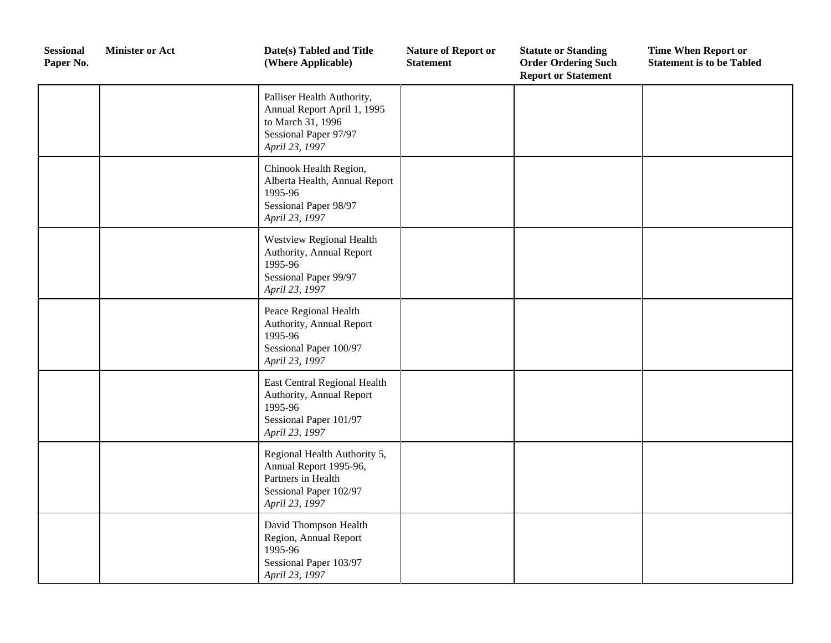| <b>Sessional</b><br>Paper No. | <b>Minister or Act</b> | Date(s) Tabled and Title<br>(Where Applicable)                                                                            | <b>Nature of Report or</b><br><b>Statement</b> | <b>Statute or Standing</b><br><b>Order Ordering Such</b><br><b>Report or Statement</b> | <b>Time When Report or</b><br><b>Statement is to be Tabled</b> |
|-------------------------------|------------------------|---------------------------------------------------------------------------------------------------------------------------|------------------------------------------------|----------------------------------------------------------------------------------------|----------------------------------------------------------------|
|                               |                        | Palliser Health Authority,<br>Annual Report April 1, 1995<br>to March 31, 1996<br>Sessional Paper 97/97<br>April 23, 1997 |                                                |                                                                                        |                                                                |
|                               |                        | Chinook Health Region,<br>Alberta Health, Annual Report<br>1995-96<br>Sessional Paper 98/97<br>April 23, 1997             |                                                |                                                                                        |                                                                |
|                               |                        | Westview Regional Health<br>Authority, Annual Report<br>1995-96<br>Sessional Paper 99/97<br>April 23, 1997                |                                                |                                                                                        |                                                                |
|                               |                        | Peace Regional Health<br>Authority, Annual Report<br>1995-96<br>Sessional Paper 100/97<br>April 23, 1997                  |                                                |                                                                                        |                                                                |
|                               |                        | East Central Regional Health<br>Authority, Annual Report<br>1995-96<br>Sessional Paper 101/97<br>April 23, 1997           |                                                |                                                                                        |                                                                |
|                               |                        | Regional Health Authority 5,<br>Annual Report 1995-96,<br>Partners in Health<br>Sessional Paper 102/97<br>April 23, 1997  |                                                |                                                                                        |                                                                |
|                               |                        | David Thompson Health<br>Region, Annual Report<br>1995-96<br>Sessional Paper 103/97<br>April 23, 1997                     |                                                |                                                                                        |                                                                |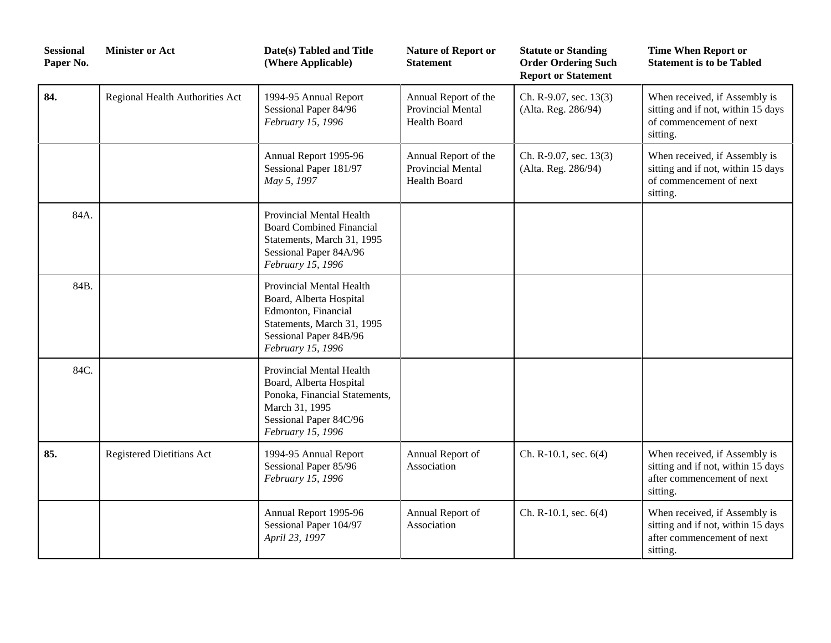| <b>Sessional</b><br>Paper No. | <b>Minister or Act</b>          | Date(s) Tabled and Title<br>(Where Applicable)                                                                                                          | <b>Nature of Report or</b><br><b>Statement</b>                   | <b>Statute or Standing</b><br><b>Order Ordering Such</b><br><b>Report or Statement</b> | <b>Time When Report or</b><br><b>Statement is to be Tabled</b>                                                |
|-------------------------------|---------------------------------|---------------------------------------------------------------------------------------------------------------------------------------------------------|------------------------------------------------------------------|----------------------------------------------------------------------------------------|---------------------------------------------------------------------------------------------------------------|
| 84.                           | Regional Health Authorities Act | 1994-95 Annual Report<br>Sessional Paper 84/96<br>February 15, 1996                                                                                     | Annual Report of the<br>Provincial Mental<br><b>Health Board</b> | Ch. R-9.07, sec. 13(3)<br>(Alta. Reg. 286/94)                                          | When received, if Assembly is<br>sitting and if not, within 15 days<br>of commencement of next<br>sitting.    |
|                               |                                 | Annual Report 1995-96<br>Sessional Paper 181/97<br>May 5, 1997                                                                                          | Annual Report of the<br>Provincial Mental<br><b>Health Board</b> | Ch. R-9.07, sec. 13(3)<br>(Alta. Reg. 286/94)                                          | When received, if Assembly is<br>sitting and if not, within 15 days<br>of commencement of next<br>sitting.    |
| 84A.                          |                                 | Provincial Mental Health<br><b>Board Combined Financial</b><br>Statements, March 31, 1995<br>Sessional Paper 84A/96<br>February 15, 1996                |                                                                  |                                                                                        |                                                                                                               |
| 84B.                          |                                 | Provincial Mental Health<br>Board, Alberta Hospital<br>Edmonton, Financial<br>Statements, March 31, 1995<br>Sessional Paper 84B/96<br>February 15, 1996 |                                                                  |                                                                                        |                                                                                                               |
| 84C.                          |                                 | Provincial Mental Health<br>Board, Alberta Hospital<br>Ponoka, Financial Statements,<br>March 31, 1995<br>Sessional Paper 84C/96<br>February 15, 1996   |                                                                  |                                                                                        |                                                                                                               |
| 85.                           | Registered Dietitians Act       | 1994-95 Annual Report<br>Sessional Paper 85/96<br>February 15, 1996                                                                                     | Annual Report of<br>Association                                  | Ch. R-10.1, sec. 6(4)                                                                  | When received, if Assembly is<br>sitting and if not, within 15 days<br>after commencement of next<br>sitting. |
|                               |                                 | Annual Report 1995-96<br>Sessional Paper 104/97<br>April 23, 1997                                                                                       | Annual Report of<br>Association                                  | Ch. R-10.1, sec. 6(4)                                                                  | When received, if Assembly is<br>sitting and if not, within 15 days<br>after commencement of next<br>sitting. |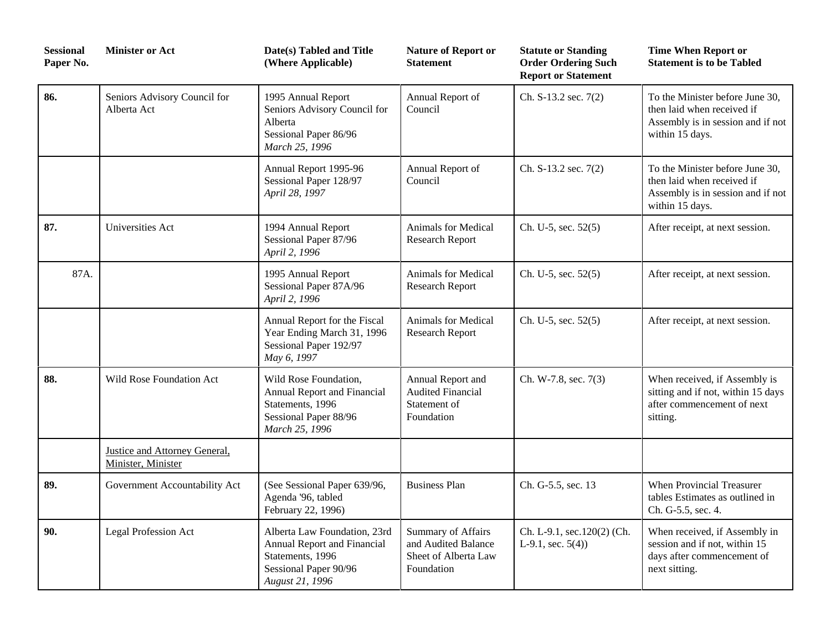| <b>Sessional</b><br>Paper No. | <b>Minister or Act</b>                              | Date(s) Tabled and Title<br>(Where Applicable)                                                                              | <b>Nature of Report or</b><br><b>Statement</b>                                  | <b>Statute or Standing</b><br><b>Order Ordering Such</b><br><b>Report or Statement</b> | <b>Time When Report or</b><br><b>Statement is to be Tabled</b>                                                        |
|-------------------------------|-----------------------------------------------------|-----------------------------------------------------------------------------------------------------------------------------|---------------------------------------------------------------------------------|----------------------------------------------------------------------------------------|-----------------------------------------------------------------------------------------------------------------------|
| 86.                           | Seniors Advisory Council for<br>Alberta Act         | 1995 Annual Report<br>Seniors Advisory Council for<br>Alberta<br>Sessional Paper 86/96<br>March 25, 1996                    | Annual Report of<br>Council                                                     | Ch. S-13.2 sec. 7(2)                                                                   | To the Minister before June 30,<br>then laid when received if<br>Assembly is in session and if not<br>within 15 days. |
|                               |                                                     | Annual Report 1995-96<br>Sessional Paper 128/97<br>April 28, 1997                                                           | Annual Report of<br>Council                                                     | Ch. S-13.2 sec. 7(2)                                                                   | To the Minister before June 30,<br>then laid when received if<br>Assembly is in session and if not<br>within 15 days. |
| 87.                           | Universities Act                                    | 1994 Annual Report<br>Sessional Paper 87/96<br>April 2, 1996                                                                | Animals for Medical<br><b>Research Report</b>                                   | Ch. U-5, sec. 52(5)                                                                    | After receipt, at next session.                                                                                       |
| 87A.                          |                                                     | 1995 Annual Report<br>Sessional Paper 87A/96<br>April 2, 1996                                                               | Animals for Medical<br><b>Research Report</b>                                   | Ch. U-5, sec. 52(5)                                                                    | After receipt, at next session.                                                                                       |
|                               |                                                     | Annual Report for the Fiscal<br>Year Ending March 31, 1996<br>Sessional Paper 192/97<br>May 6, 1997                         | Animals for Medical<br><b>Research Report</b>                                   | Ch. U-5, sec. 52(5)                                                                    | After receipt, at next session.                                                                                       |
| 88.                           | Wild Rose Foundation Act                            | Wild Rose Foundation,<br>Annual Report and Financial<br>Statements, 1996<br>Sessional Paper 88/96<br>March 25, 1996         | Annual Report and<br><b>Audited Financial</b><br>Statement of<br>Foundation     | Ch. W-7.8, sec. 7(3)                                                                   | When received, if Assembly is<br>sitting and if not, within 15 days<br>after commencement of next<br>sitting.         |
|                               | Justice and Attorney General,<br>Minister, Minister |                                                                                                                             |                                                                                 |                                                                                        |                                                                                                                       |
| 89.                           | Government Accountability Act                       | (See Sessional Paper 639/96,<br>Agenda '96, tabled<br>February 22, 1996)                                                    | <b>Business Plan</b>                                                            | Ch. G-5.5, sec. 13                                                                     | When Provincial Treasurer<br>tables Estimates as outlined in<br>Ch. G-5.5, sec. 4.                                    |
| 90.                           | <b>Legal Profession Act</b>                         | Alberta Law Foundation, 23rd<br>Annual Report and Financial<br>Statements, 1996<br>Sessional Paper 90/96<br>August 21, 1996 | Summary of Affairs<br>and Audited Balance<br>Sheet of Alberta Law<br>Foundation | Ch. L-9.1, sec.120(2) (Ch.<br>L-9.1, sec. $5(4)$ )                                     | When received, if Assembly in<br>session and if not, within 15<br>days after commencement of<br>next sitting.         |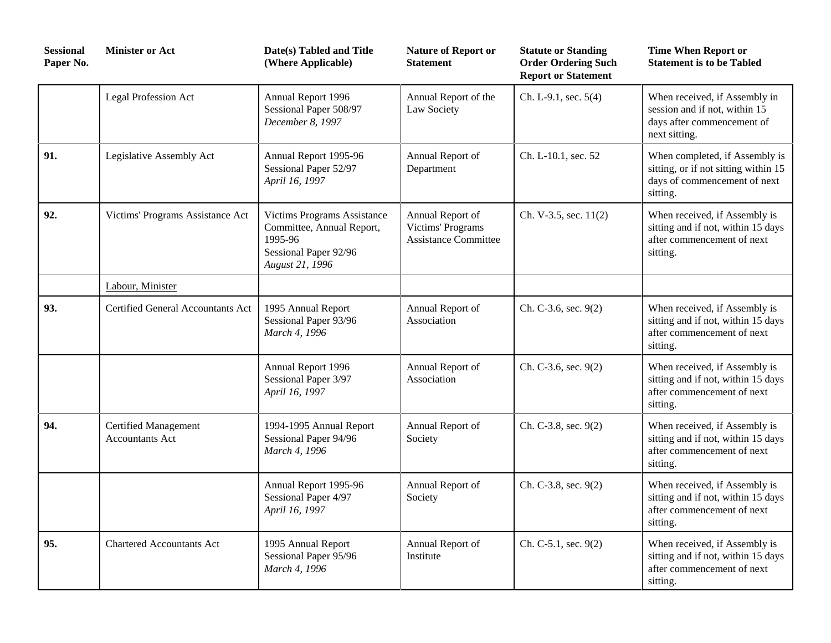| <b>Sessional</b><br>Paper No. | <b>Minister or Act</b>                                | Date(s) Tabled and Title<br>(Where Applicable)                                                                         | <b>Nature of Report or</b><br><b>Statement</b>                       | <b>Statute or Standing</b><br><b>Order Ordering Such</b><br><b>Report or Statement</b> | <b>Time When Report or</b><br><b>Statement is to be Tabled</b>                                                     |
|-------------------------------|-------------------------------------------------------|------------------------------------------------------------------------------------------------------------------------|----------------------------------------------------------------------|----------------------------------------------------------------------------------------|--------------------------------------------------------------------------------------------------------------------|
|                               | Legal Profession Act                                  | Annual Report 1996<br>Sessional Paper 508/97<br>December 8, 1997                                                       | Annual Report of the<br>Law Society                                  | Ch. L-9.1, sec. 5(4)                                                                   | When received, if Assembly in<br>session and if not, within 15<br>days after commencement of<br>next sitting.      |
| 91.                           | Legislative Assembly Act                              | Annual Report 1995-96<br>Sessional Paper 52/97<br>April 16, 1997                                                       | Annual Report of<br>Department                                       | Ch. L-10.1, sec. 52                                                                    | When completed, if Assembly is<br>sitting, or if not sitting within 15<br>days of commencement of next<br>sitting. |
| 92.                           | Victims' Programs Assistance Act                      | <b>Victims Programs Assistance</b><br>Committee, Annual Report,<br>1995-96<br>Sessional Paper 92/96<br>August 21, 1996 | Annual Report of<br>Victims' Programs<br><b>Assistance Committee</b> | Ch. V-3.5, sec. $11(2)$                                                                | When received, if Assembly is<br>sitting and if not, within 15 days<br>after commencement of next<br>sitting.      |
|                               | Labour, Minister                                      |                                                                                                                        |                                                                      |                                                                                        |                                                                                                                    |
| 93.                           | <b>Certified General Accountants Act</b>              | 1995 Annual Report<br>Sessional Paper 93/96<br>March 4, 1996                                                           | Annual Report of<br>Association                                      | Ch. C-3.6, sec. 9(2)                                                                   | When received, if Assembly is<br>sitting and if not, within 15 days<br>after commencement of next<br>sitting.      |
|                               |                                                       | Annual Report 1996<br>Sessional Paper 3/97<br>April 16, 1997                                                           | Annual Report of<br>Association                                      | Ch. C-3.6, sec. 9(2)                                                                   | When received, if Assembly is<br>sitting and if not, within 15 days<br>after commencement of next<br>sitting.      |
| 94.                           | <b>Certified Management</b><br><b>Accountants Act</b> | 1994-1995 Annual Report<br>Sessional Paper 94/96<br>March 4, 1996                                                      | Annual Report of<br>Society                                          | Ch. C-3.8, sec. 9(2)                                                                   | When received, if Assembly is<br>sitting and if not, within 15 days<br>after commencement of next<br>sitting.      |
|                               |                                                       | Annual Report 1995-96<br>Sessional Paper 4/97<br>April 16, 1997                                                        | Annual Report of<br>Society                                          | Ch. C-3.8, sec. 9(2)                                                                   | When received, if Assembly is<br>sitting and if not, within 15 days<br>after commencement of next<br>sitting.      |
| 95.                           | <b>Chartered Accountants Act</b>                      | 1995 Annual Report<br>Sessional Paper 95/96<br>March 4, 1996                                                           | Annual Report of<br>Institute                                        | Ch. C-5.1, sec. 9(2)                                                                   | When received, if Assembly is<br>sitting and if not, within 15 days<br>after commencement of next<br>sitting.      |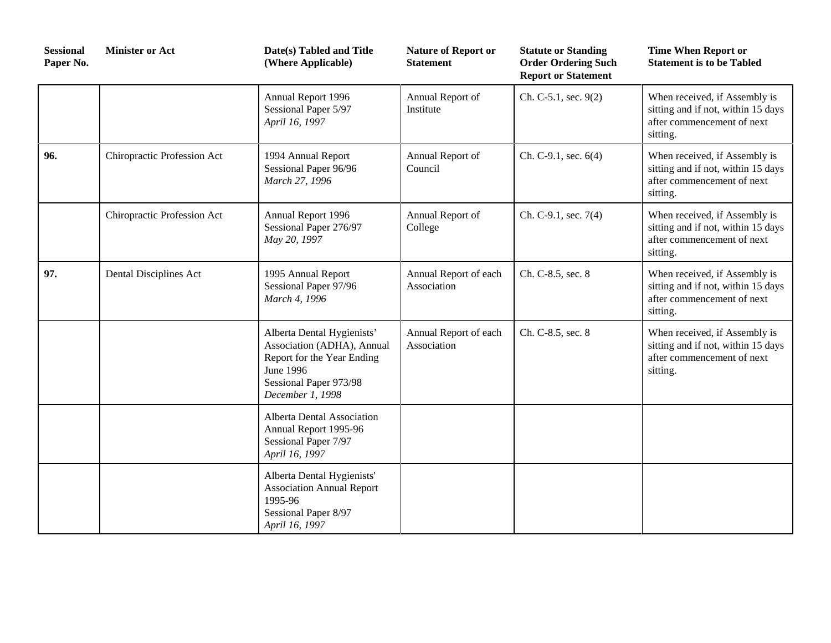| <b>Sessional</b><br>Paper No. | <b>Minister or Act</b>      | Date(s) Tabled and Title<br>(Where Applicable)                                                                                                    | <b>Nature of Report or</b><br><b>Statement</b> | <b>Statute or Standing</b><br><b>Order Ordering Such</b><br><b>Report or Statement</b> | <b>Time When Report or</b><br><b>Statement is to be Tabled</b>                                                |
|-------------------------------|-----------------------------|---------------------------------------------------------------------------------------------------------------------------------------------------|------------------------------------------------|----------------------------------------------------------------------------------------|---------------------------------------------------------------------------------------------------------------|
|                               |                             | Annual Report 1996<br>Sessional Paper 5/97<br>April 16, 1997                                                                                      | Annual Report of<br>Institute                  | Ch. C-5.1, sec. 9(2)                                                                   | When received, if Assembly is<br>sitting and if not, within 15 days<br>after commencement of next<br>sitting. |
| 96.                           | Chiropractic Profession Act | 1994 Annual Report<br>Sessional Paper 96/96<br>March 27, 1996                                                                                     | Annual Report of<br>Council                    | Ch. C-9.1, sec. 6(4)                                                                   | When received, if Assembly is<br>sitting and if not, within 15 days<br>after commencement of next<br>sitting. |
|                               | Chiropractic Profession Act | Annual Report 1996<br>Sessional Paper 276/97<br>May 20, 1997                                                                                      | Annual Report of<br>College                    | Ch. C-9.1, sec. 7(4)                                                                   | When received, if Assembly is<br>sitting and if not, within 15 days<br>after commencement of next<br>sitting. |
| 97.                           | Dental Disciplines Act      | 1995 Annual Report<br>Sessional Paper 97/96<br>March 4, 1996                                                                                      | Annual Report of each<br>Association           | Ch. C-8.5, sec. 8                                                                      | When received, if Assembly is<br>sitting and if not, within 15 days<br>after commencement of next<br>sitting. |
|                               |                             | Alberta Dental Hygienists'<br>Association (ADHA), Annual<br>Report for the Year Ending<br>June 1996<br>Sessional Paper 973/98<br>December 1, 1998 | Annual Report of each<br>Association           | Ch. C-8.5, sec. 8                                                                      | When received, if Assembly is<br>sitting and if not, within 15 days<br>after commencement of next<br>sitting. |
|                               |                             | Alberta Dental Association<br>Annual Report 1995-96<br>Sessional Paper 7/97<br>April 16, 1997                                                     |                                                |                                                                                        |                                                                                                               |
|                               |                             | Alberta Dental Hygienists'<br><b>Association Annual Report</b><br>1995-96<br>Sessional Paper 8/97<br>April 16, 1997                               |                                                |                                                                                        |                                                                                                               |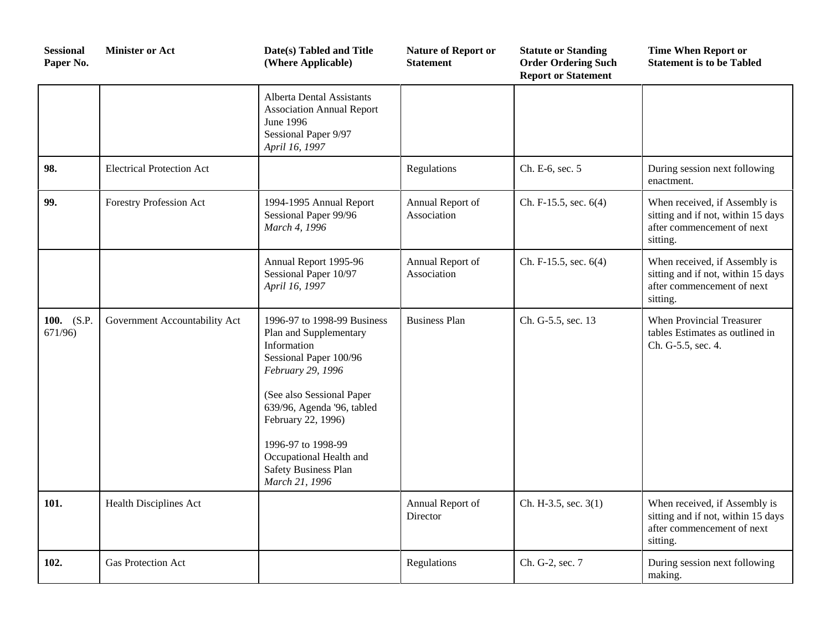| <b>Sessional</b><br>Paper No. | <b>Minister or Act</b>           | Date(s) Tabled and Title<br>(Where Applicable)                                                                                                                                                                                                                                                  | <b>Nature of Report or</b><br><b>Statement</b> | <b>Statute or Standing</b><br><b>Order Ordering Such</b><br><b>Report or Statement</b> | <b>Time When Report or</b><br><b>Statement is to be Tabled</b>                                                |
|-------------------------------|----------------------------------|-------------------------------------------------------------------------------------------------------------------------------------------------------------------------------------------------------------------------------------------------------------------------------------------------|------------------------------------------------|----------------------------------------------------------------------------------------|---------------------------------------------------------------------------------------------------------------|
|                               |                                  | <b>Alberta Dental Assistants</b><br><b>Association Annual Report</b><br>June 1996<br>Sessional Paper 9/97<br>April 16, 1997                                                                                                                                                                     |                                                |                                                                                        |                                                                                                               |
| 98.                           | <b>Electrical Protection Act</b> |                                                                                                                                                                                                                                                                                                 | Regulations                                    | Ch. E-6, sec. 5                                                                        | During session next following<br>enactment.                                                                   |
| 99.                           | Forestry Profession Act          | 1994-1995 Annual Report<br>Sessional Paper 99/96<br>March 4, 1996                                                                                                                                                                                                                               | Annual Report of<br>Association                | Ch. F-15.5, sec. 6(4)                                                                  | When received, if Assembly is<br>sitting and if not, within 15 days<br>after commencement of next<br>sitting. |
|                               |                                  | Annual Report 1995-96<br>Sessional Paper 10/97<br>April 16, 1997                                                                                                                                                                                                                                | Annual Report of<br>Association                | Ch. F-15.5, sec. 6(4)                                                                  | When received, if Assembly is<br>sitting and if not, within 15 days<br>after commencement of next<br>sitting. |
| 100. (S.P.<br>671/96          | Government Accountability Act    | 1996-97 to 1998-99 Business<br>Plan and Supplementary<br>Information<br>Sessional Paper 100/96<br>February 29, 1996<br>(See also Sessional Paper<br>639/96, Agenda '96, tabled<br>February 22, 1996)<br>1996-97 to 1998-99<br>Occupational Health and<br>Safety Business Plan<br>March 21, 1996 | <b>Business Plan</b>                           | Ch. G-5.5, sec. 13                                                                     | When Provincial Treasurer<br>tables Estimates as outlined in<br>Ch. G-5.5, sec. 4.                            |
| 101.                          | Health Disciplines Act           |                                                                                                                                                                                                                                                                                                 | Annual Report of<br>Director                   | Ch. H-3.5, sec. 3(1)                                                                   | When received, if Assembly is<br>sitting and if not, within 15 days<br>after commencement of next<br>sitting. |
| 102.                          | Gas Protection Act               |                                                                                                                                                                                                                                                                                                 | Regulations                                    | Ch. G-2, sec. 7                                                                        | During session next following<br>making.                                                                      |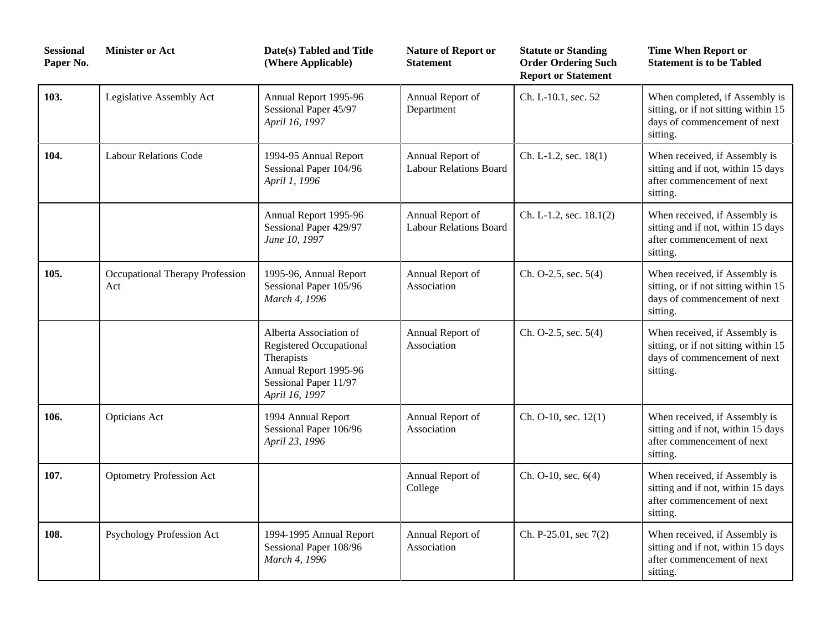| <b>Sessional</b><br>Paper No. | <b>Minister or Act</b>                 | Date(s) Tabled and Title<br>(Where Applicable)                                                                                             | <b>Nature of Report or</b><br><b>Statement</b>    | <b>Statute or Standing</b><br><b>Order Ordering Such</b><br><b>Report or Statement</b> | <b>Time When Report or</b><br><b>Statement is to be Tabled</b>                                                     |
|-------------------------------|----------------------------------------|--------------------------------------------------------------------------------------------------------------------------------------------|---------------------------------------------------|----------------------------------------------------------------------------------------|--------------------------------------------------------------------------------------------------------------------|
| 103.                          | Legislative Assembly Act               | Annual Report 1995-96<br>Sessional Paper 45/97<br>April 16, 1997                                                                           | Annual Report of<br>Department                    | Ch. L-10.1, sec. 52                                                                    | When completed, if Assembly is<br>sitting, or if not sitting within 15<br>days of commencement of next<br>sitting. |
| 104.                          | <b>Labour Relations Code</b>           | 1994-95 Annual Report<br>Sessional Paper 104/96<br>April 1, 1996                                                                           | Annual Report of<br><b>Labour Relations Board</b> | Ch. L-1.2, sec. 18(1)                                                                  | When received, if Assembly is<br>sitting and if not, within 15 days<br>after commencement of next<br>sitting.      |
|                               |                                        | Annual Report 1995-96<br>Sessional Paper 429/97<br>June 10, 1997                                                                           | Annual Report of<br><b>Labour Relations Board</b> | Ch. L-1.2, sec. 18.1(2)                                                                | When received, if Assembly is<br>sitting and if not, within 15 days<br>after commencement of next<br>sitting.      |
| 105.                          | Occupational Therapy Profession<br>Act | 1995-96, Annual Report<br>Sessional Paper 105/96<br>March 4, 1996                                                                          | Annual Report of<br>Association                   | Ch. O-2.5, sec. 5(4)                                                                   | When received, if Assembly is<br>sitting, or if not sitting within 15<br>days of commencement of next<br>sitting.  |
|                               |                                        | Alberta Association of<br><b>Registered Occupational</b><br>Therapists<br>Annual Report 1995-96<br>Sessional Paper 11/97<br>April 16, 1997 | Annual Report of<br>Association                   | Ch. O-2.5, sec. 5(4)                                                                   | When received, if Assembly is<br>sitting, or if not sitting within 15<br>days of commencement of next<br>sitting.  |
| 106.                          | <b>Opticians Act</b>                   | 1994 Annual Report<br>Sessional Paper 106/96<br>April 23, 1996                                                                             | Annual Report of<br>Association                   | Ch. O-10, sec. 12(1)                                                                   | When received, if Assembly is<br>sitting and if not, within 15 days<br>after commencement of next<br>sitting.      |
| 107.                          | <b>Optometry Profession Act</b>        |                                                                                                                                            | Annual Report of<br>College                       | Ch. O-10, sec. 6(4)                                                                    | When received, if Assembly is<br>sitting and if not, within 15 days<br>after commencement of next<br>sitting.      |
| 108.                          | Psychology Profession Act              | 1994-1995 Annual Report<br>Sessional Paper 108/96<br>March 4, 1996                                                                         | Annual Report of<br>Association                   | Ch. P-25.01, sec 7(2)                                                                  | When received, if Assembly is<br>sitting and if not, within 15 days<br>after commencement of next<br>sitting.      |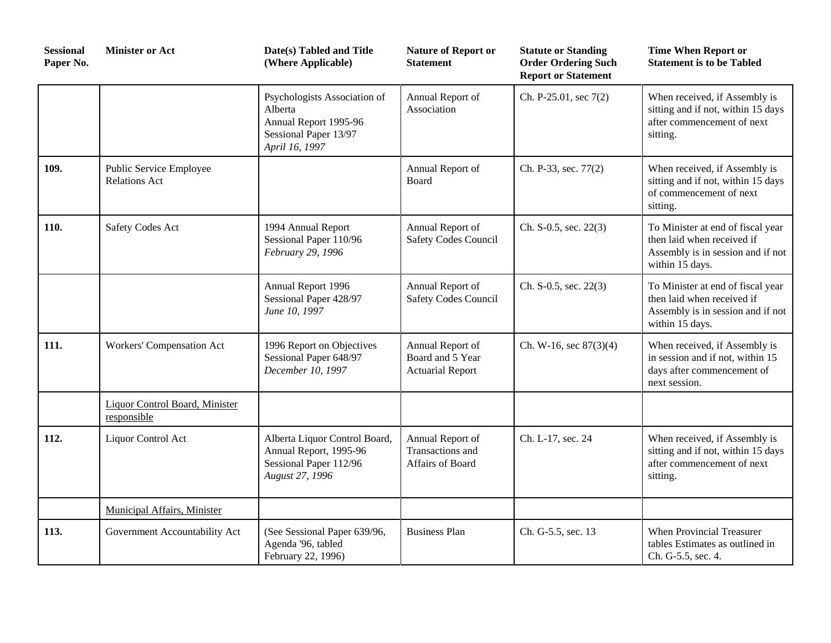| <b>Sessional</b><br>Paper No. | <b>Minister or Act</b>                          | Date(s) Tabled and Title<br>(Where Applicable)                                                              | <b>Nature of Report or</b><br><b>Statement</b>                  | <b>Statute or Standing</b><br><b>Order Ordering Such</b><br><b>Report or Statement</b> | <b>Time When Report or</b><br><b>Statement is to be Tabled</b>                                                          |
|-------------------------------|-------------------------------------------------|-------------------------------------------------------------------------------------------------------------|-----------------------------------------------------------------|----------------------------------------------------------------------------------------|-------------------------------------------------------------------------------------------------------------------------|
|                               |                                                 | Psychologists Association of<br>Alberta<br>Annual Report 1995-96<br>Sessional Paper 13/97<br>April 16, 1997 | Annual Report of<br>Association                                 | Ch. P-25.01, sec 7(2)                                                                  | When received, if Assembly is<br>sitting and if not, within 15 days<br>after commencement of next<br>sitting.           |
| 109.                          | Public Service Employee<br><b>Relations Act</b> |                                                                                                             | Annual Report of<br>Board                                       | Ch. P-33, sec. 77(2)                                                                   | When received, if Assembly is<br>sitting and if not, within 15 days<br>of commencement of next<br>sitting.              |
| 110.                          | <b>Safety Codes Act</b>                         | 1994 Annual Report<br>Sessional Paper 110/96<br>February 29, 1996                                           | Annual Report of<br>Safety Codes Council                        | Ch. S-0.5, sec. 22(3)                                                                  | To Minister at end of fiscal year<br>then laid when received if<br>Assembly is in session and if not<br>within 15 days. |
|                               |                                                 | Annual Report 1996<br>Sessional Paper 428/97<br>June 10, 1997                                               | Annual Report of<br><b>Safety Codes Council</b>                 | Ch. S-0.5, sec. 22(3)                                                                  | To Minister at end of fiscal year<br>then laid when received if<br>Assembly is in session and if not<br>within 15 days. |
| 111.                          | Workers' Compensation Act                       | 1996 Report on Objectives<br>Sessional Paper 648/97<br>December 10, 1997                                    | Annual Report of<br>Board and 5 Year<br><b>Actuarial Report</b> | Ch. W-16, sec $87(3)(4)$                                                               | When received, if Assembly is<br>in session and if not, within 15<br>days after commencement of<br>next session.        |
|                               | Liquor Control Board, Minister<br>responsible   |                                                                                                             |                                                                 |                                                                                        |                                                                                                                         |
| 112.                          | Liquor Control Act                              | Alberta Liquor Control Board,<br>Annual Report, 1995-96<br>Sessional Paper 112/96<br>August 27, 1996        | Annual Report of<br>Transactions and<br>Affairs of Board        | Ch. L-17, sec. 24                                                                      | When received, if Assembly is<br>sitting and if not, within 15 days<br>after commencement of next<br>sitting.           |
|                               | Municipal Affairs, Minister                     |                                                                                                             |                                                                 |                                                                                        |                                                                                                                         |
| 113.                          | Government Accountability Act                   | (See Sessional Paper 639/96,<br>Agenda '96, tabled<br>February 22, 1996)                                    | <b>Business Plan</b>                                            | Ch. G-5.5, sec. 13                                                                     | When Provincial Treasurer<br>tables Estimates as outlined in<br>Ch. G-5.5, sec. 4.                                      |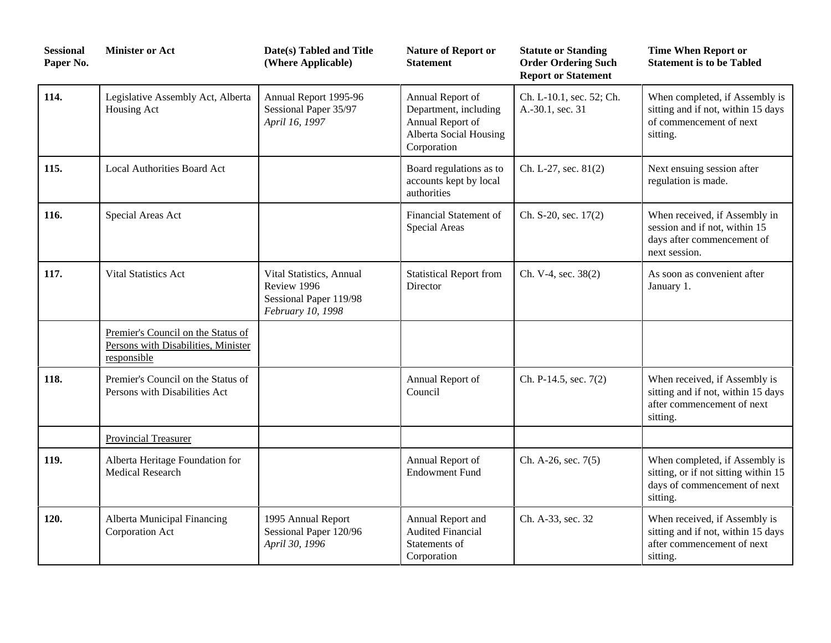| <b>Sessional</b><br>Paper No. | <b>Minister or Act</b>                                                                   | Date(s) Tabled and Title<br>(Where Applicable)                                         | <b>Nature of Report or</b><br><b>Statement</b>                                                         | <b>Statute or Standing</b><br><b>Order Ordering Such</b><br><b>Report or Statement</b> | <b>Time When Report or</b><br><b>Statement is to be Tabled</b>                                                     |
|-------------------------------|------------------------------------------------------------------------------------------|----------------------------------------------------------------------------------------|--------------------------------------------------------------------------------------------------------|----------------------------------------------------------------------------------------|--------------------------------------------------------------------------------------------------------------------|
| 114.                          | Legislative Assembly Act, Alberta<br>Housing Act                                         | Annual Report 1995-96<br>Sessional Paper 35/97<br>April 16, 1997                       | Annual Report of<br>Department, including<br>Annual Report of<br>Alberta Social Housing<br>Corporation | Ch. L-10.1, sec. 52; Ch.<br>A.-30.1, sec. 31                                           | When completed, if Assembly is<br>sitting and if not, within 15 days<br>of commencement of next<br>sitting.        |
| 115.                          | <b>Local Authorities Board Act</b>                                                       |                                                                                        | Board regulations as to<br>accounts kept by local<br>authorities                                       | Ch. L-27, sec. 81(2)                                                                   | Next ensuing session after<br>regulation is made.                                                                  |
| 116.                          | Special Areas Act                                                                        |                                                                                        | Financial Statement of<br>Special Areas                                                                | Ch. S-20, sec. 17(2)                                                                   | When received, if Assembly in<br>session and if not, within 15<br>days after commencement of<br>next session.      |
| 117.                          | Vital Statistics Act                                                                     | Vital Statistics, Annual<br>Review 1996<br>Sessional Paper 119/98<br>February 10, 1998 | <b>Statistical Report from</b><br>Director                                                             | Ch. V-4, sec. 38(2)                                                                    | As soon as convenient after<br>January 1.                                                                          |
|                               | Premier's Council on the Status of<br>Persons with Disabilities, Minister<br>responsible |                                                                                        |                                                                                                        |                                                                                        |                                                                                                                    |
| 118.                          | Premier's Council on the Status of<br>Persons with Disabilities Act                      |                                                                                        | Annual Report of<br>Council                                                                            | Ch. P-14.5, sec. 7(2)                                                                  | When received, if Assembly is<br>sitting and if not, within 15 days<br>after commencement of next<br>sitting.      |
|                               | <b>Provincial Treasurer</b>                                                              |                                                                                        |                                                                                                        |                                                                                        |                                                                                                                    |
| 119.                          | Alberta Heritage Foundation for<br><b>Medical Research</b>                               |                                                                                        | Annual Report of<br><b>Endowment Fund</b>                                                              | Ch. A-26, sec. 7(5)                                                                    | When completed, if Assembly is<br>sitting, or if not sitting within 15<br>days of commencement of next<br>sitting. |
| 120.                          | Alberta Municipal Financing<br>Corporation Act                                           | 1995 Annual Report<br>Sessional Paper 120/96<br>April 30, 1996                         | Annual Report and<br><b>Audited Financial</b><br>Statements of<br>Corporation                          | Ch. A-33, sec. 32                                                                      | When received, if Assembly is<br>sitting and if not, within 15 days<br>after commencement of next<br>sitting.      |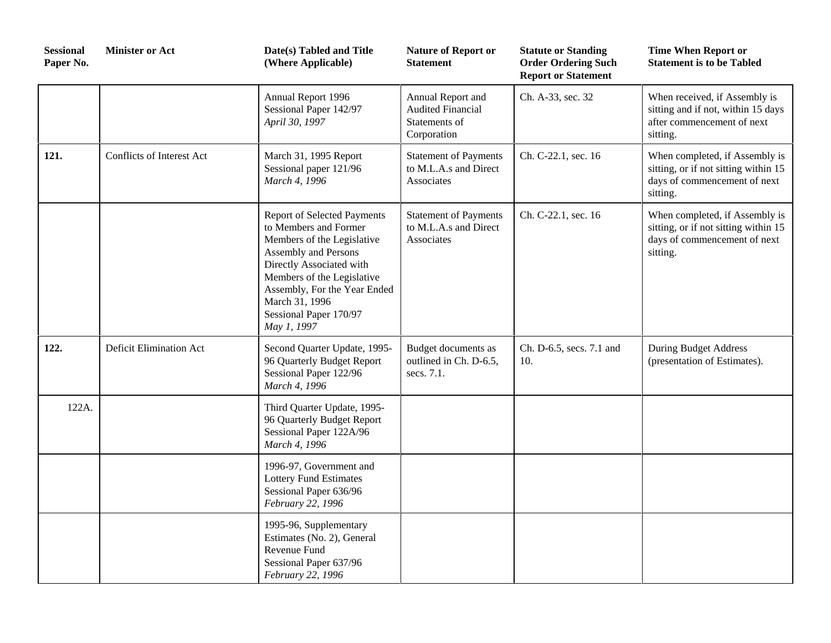| <b>Sessional</b><br>Paper No. | <b>Minister or Act</b>    | Date(s) Tabled and Title<br>(Where Applicable)                                                                                                                                                                                                                         | <b>Nature of Report or</b><br><b>Statement</b>                                | <b>Statute or Standing</b><br><b>Order Ordering Such</b><br><b>Report or Statement</b> | <b>Time When Report or</b><br><b>Statement is to be Tabled</b>                                                     |
|-------------------------------|---------------------------|------------------------------------------------------------------------------------------------------------------------------------------------------------------------------------------------------------------------------------------------------------------------|-------------------------------------------------------------------------------|----------------------------------------------------------------------------------------|--------------------------------------------------------------------------------------------------------------------|
|                               |                           | Annual Report 1996<br>Sessional Paper 142/97<br>April 30, 1997                                                                                                                                                                                                         | Annual Report and<br><b>Audited Financial</b><br>Statements of<br>Corporation | Ch. A-33, sec. 32                                                                      | When received, if Assembly is<br>sitting and if not, within 15 days<br>after commencement of next<br>sitting.      |
| 121.                          | Conflicts of Interest Act | March 31, 1995 Report<br>Sessional paper 121/96<br>March 4, 1996                                                                                                                                                                                                       | <b>Statement of Payments</b><br>to M.L.A.s and Direct<br>Associates           | Ch. C-22.1, sec. 16                                                                    | When completed, if Assembly is<br>sitting, or if not sitting within 15<br>days of commencement of next<br>sitting. |
|                               |                           | <b>Report of Selected Payments</b><br>to Members and Former<br>Members of the Legislative<br>Assembly and Persons<br>Directly Associated with<br>Members of the Legislative<br>Assembly, For the Year Ended<br>March 31, 1996<br>Sessional Paper 170/97<br>May 1, 1997 | <b>Statement of Payments</b><br>to M.L.A.s and Direct<br>Associates           | Ch. C-22.1, sec. 16                                                                    | When completed, if Assembly is<br>sitting, or if not sitting within 15<br>days of commencement of next<br>sitting. |
| 122.                          | Deficit Elimination Act   | Second Quarter Update, 1995-<br>96 Quarterly Budget Report<br>Sessional Paper 122/96<br>March 4, 1996                                                                                                                                                                  | Budget documents as<br>outlined in Ch. D-6.5,<br>secs. 7.1.                   | Ch. D-6.5, secs. 7.1 and<br>10.                                                        | <b>During Budget Address</b><br>(presentation of Estimates).                                                       |
| 122A.                         |                           | Third Quarter Update, 1995-<br>96 Quarterly Budget Report<br>Sessional Paper 122A/96<br>March 4, 1996                                                                                                                                                                  |                                                                               |                                                                                        |                                                                                                                    |
|                               |                           | 1996-97, Government and<br><b>Lottery Fund Estimates</b><br>Sessional Paper 636/96<br>February 22, 1996                                                                                                                                                                |                                                                               |                                                                                        |                                                                                                                    |
|                               |                           | 1995-96, Supplementary<br>Estimates (No. 2), General<br>Revenue Fund<br>Sessional Paper 637/96<br>February 22, 1996                                                                                                                                                    |                                                                               |                                                                                        |                                                                                                                    |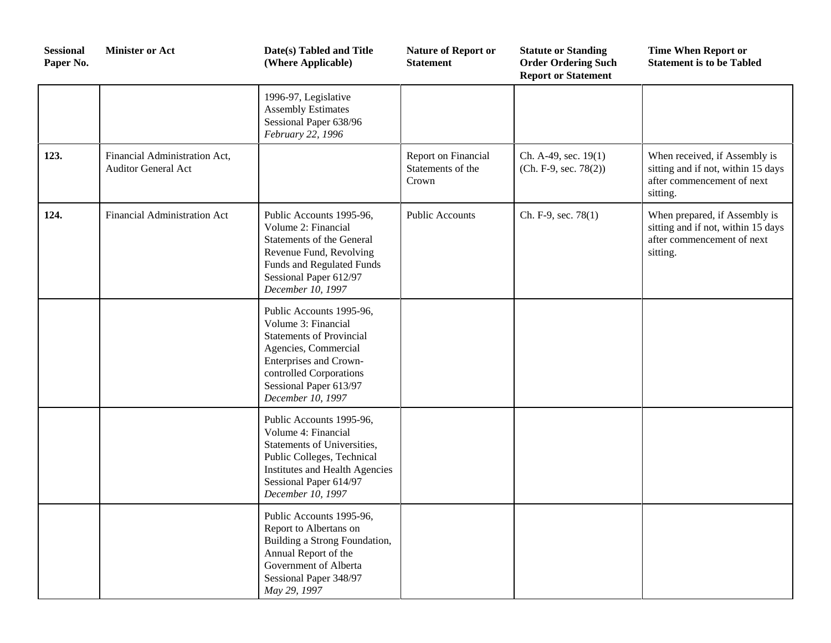| <b>Sessional</b><br>Paper No. | <b>Minister or Act</b>                                      | Date(s) Tabled and Title<br>(Where Applicable)                                                                                                                                                                 | <b>Nature of Report or</b><br><b>Statement</b>    | <b>Statute or Standing</b><br><b>Order Ordering Such</b><br><b>Report or Statement</b> | <b>Time When Report or</b><br><b>Statement is to be Tabled</b>                                                |
|-------------------------------|-------------------------------------------------------------|----------------------------------------------------------------------------------------------------------------------------------------------------------------------------------------------------------------|---------------------------------------------------|----------------------------------------------------------------------------------------|---------------------------------------------------------------------------------------------------------------|
|                               |                                                             | 1996-97, Legislative<br><b>Assembly Estimates</b><br>Sessional Paper 638/96<br>February 22, 1996                                                                                                               |                                                   |                                                                                        |                                                                                                               |
| 123.                          | Financial Administration Act,<br><b>Auditor General Act</b> |                                                                                                                                                                                                                | Report on Financial<br>Statements of the<br>Crown | Ch. A-49, sec. 19(1)<br>$(Ch. F-9, sec. 78(2))$                                        | When received, if Assembly is<br>sitting and if not, within 15 days<br>after commencement of next<br>sitting. |
| 124.                          | Financial Administration Act                                | Public Accounts 1995-96,<br>Volume 2: Financial<br>Statements of the General<br>Revenue Fund, Revolving<br>Funds and Regulated Funds<br>Sessional Paper 612/97<br>December 10, 1997                            | <b>Public Accounts</b>                            | Ch. F-9, sec. 78(1)                                                                    | When prepared, if Assembly is<br>sitting and if not, within 15 days<br>after commencement of next<br>sitting. |
|                               |                                                             | Public Accounts 1995-96,<br>Volume 3: Financial<br><b>Statements of Provincial</b><br>Agencies, Commercial<br>Enterprises and Crown-<br>controlled Corporations<br>Sessional Paper 613/97<br>December 10, 1997 |                                                   |                                                                                        |                                                                                                               |
|                               |                                                             | Public Accounts 1995-96,<br>Volume 4: Financial<br>Statements of Universities,<br>Public Colleges, Technical<br><b>Institutes and Health Agencies</b><br>Sessional Paper 614/97<br>December 10, 1997           |                                                   |                                                                                        |                                                                                                               |
|                               |                                                             | Public Accounts 1995-96,<br>Report to Albertans on<br>Building a Strong Foundation,<br>Annual Report of the<br>Government of Alberta<br>Sessional Paper 348/97<br>May 29, 1997                                 |                                                   |                                                                                        |                                                                                                               |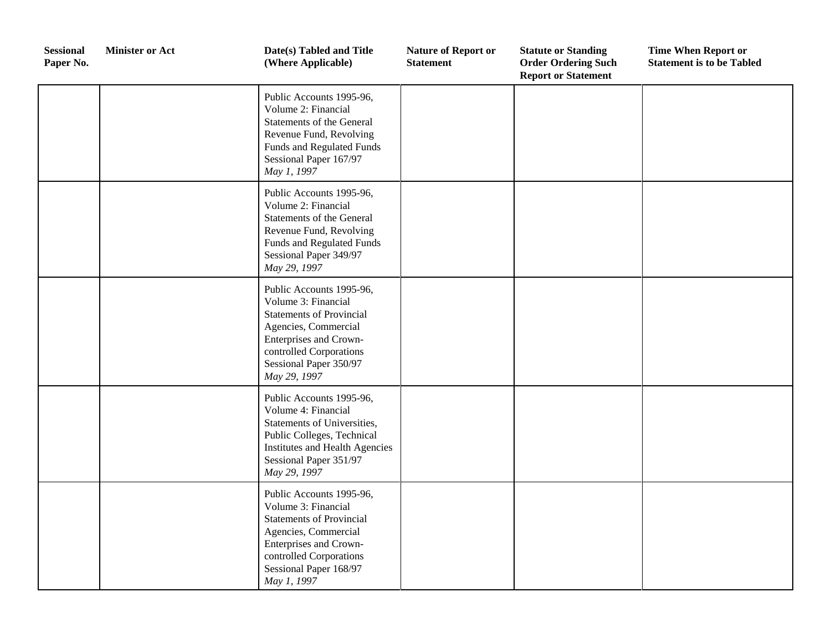| <b>Sessional</b><br>Paper No. | <b>Minister or Act</b> | Date(s) Tabled and Title<br>(Where Applicable)                                                                                                                                                            | <b>Nature of Report or</b><br><b>Statement</b> | <b>Statute or Standing</b><br><b>Order Ordering Such</b><br><b>Report or Statement</b> | <b>Time When Report or</b><br><b>Statement is to be Tabled</b> |
|-------------------------------|------------------------|-----------------------------------------------------------------------------------------------------------------------------------------------------------------------------------------------------------|------------------------------------------------|----------------------------------------------------------------------------------------|----------------------------------------------------------------|
|                               |                        | Public Accounts 1995-96,<br>Volume 2: Financial<br>Statements of the General<br>Revenue Fund, Revolving<br>Funds and Regulated Funds<br>Sessional Paper 167/97<br>May 1, 1997                             |                                                |                                                                                        |                                                                |
|                               |                        | Public Accounts 1995-96,<br>Volume 2: Financial<br><b>Statements of the General</b><br>Revenue Fund, Revolving<br><b>Funds and Regulated Funds</b><br>Sessional Paper 349/97<br>May 29, 1997              |                                                |                                                                                        |                                                                |
|                               |                        | Public Accounts 1995-96,<br>Volume 3: Financial<br><b>Statements of Provincial</b><br>Agencies, Commercial<br>Enterprises and Crown-<br>controlled Corporations<br>Sessional Paper 350/97<br>May 29, 1997 |                                                |                                                                                        |                                                                |
|                               |                        | Public Accounts 1995-96,<br>Volume 4: Financial<br>Statements of Universities,<br>Public Colleges, Technical<br>Institutes and Health Agencies<br>Sessional Paper 351/97<br>May 29, 1997                  |                                                |                                                                                        |                                                                |
|                               |                        | Public Accounts 1995-96,<br>Volume 3: Financial<br><b>Statements of Provincial</b><br>Agencies, Commercial<br>Enterprises and Crown-<br>controlled Corporations<br>Sessional Paper 168/97<br>May 1, 1997  |                                                |                                                                                        |                                                                |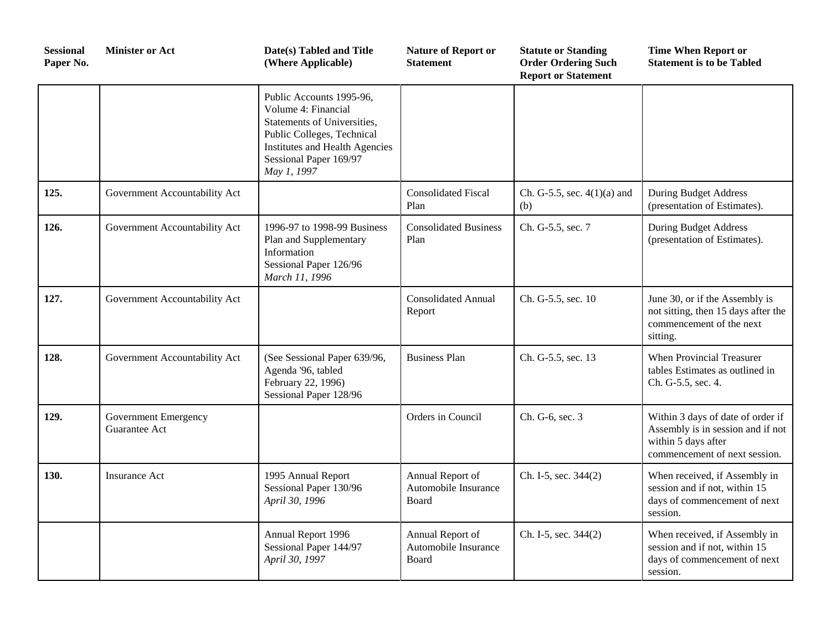| <b>Sessional</b><br>Paper No. | <b>Minister or Act</b>                       | Date(s) Tabled and Title<br>(Where Applicable)                                                                                                                                          | <b>Nature of Report or</b><br><b>Statement</b>    | <b>Statute or Standing</b><br><b>Order Ordering Such</b><br><b>Report or Statement</b> | <b>Time When Report or</b><br><b>Statement is to be Tabled</b>                                                                 |
|-------------------------------|----------------------------------------------|-----------------------------------------------------------------------------------------------------------------------------------------------------------------------------------------|---------------------------------------------------|----------------------------------------------------------------------------------------|--------------------------------------------------------------------------------------------------------------------------------|
|                               |                                              | Public Accounts 1995-96,<br>Volume 4: Financial<br>Statements of Universities,<br>Public Colleges, Technical<br>Institutes and Health Agencies<br>Sessional Paper 169/97<br>May 1, 1997 |                                                   |                                                                                        |                                                                                                                                |
| 125.                          | Government Accountability Act                |                                                                                                                                                                                         | <b>Consolidated Fiscal</b><br>Plan                | Ch. G-5.5, sec. $4(1)(a)$ and<br>(b)                                                   | <b>During Budget Address</b><br>(presentation of Estimates).                                                                   |
| 126.                          | Government Accountability Act                | 1996-97 to 1998-99 Business<br>Plan and Supplementary<br>Information<br>Sessional Paper 126/96<br>March 11, 1996                                                                        | <b>Consolidated Business</b><br>Plan              | Ch. G-5.5, sec. 7                                                                      | <b>During Budget Address</b><br>(presentation of Estimates).                                                                   |
| 127.                          | Government Accountability Act                |                                                                                                                                                                                         | <b>Consolidated Annual</b><br>Report              | Ch. G-5.5, sec. 10                                                                     | June 30, or if the Assembly is<br>not sitting, then 15 days after the<br>commencement of the next<br>sitting.                  |
| 128.                          | Government Accountability Act                | (See Sessional Paper 639/96,<br>Agenda '96, tabled<br>February 22, 1996)<br>Sessional Paper 128/96                                                                                      | <b>Business Plan</b>                              | Ch. G-5.5, sec. 13                                                                     | When Provincial Treasurer<br>tables Estimates as outlined in<br>Ch. G-5.5, sec. 4.                                             |
| 129.                          | <b>Government Emergency</b><br>Guarantee Act |                                                                                                                                                                                         | Orders in Council                                 | Ch. G-6, sec. 3                                                                        | Within 3 days of date of order if<br>Assembly is in session and if not<br>within 5 days after<br>commencement of next session. |
| 130.                          | <b>Insurance Act</b>                         | 1995 Annual Report<br>Sessional Paper 130/96<br>April 30, 1996                                                                                                                          | Annual Report of<br>Automobile Insurance<br>Board | Ch. I-5, sec. 344(2)                                                                   | When received, if Assembly in<br>session and if not, within 15<br>days of commencement of next<br>session.                     |
|                               |                                              | Annual Report 1996<br>Sessional Paper 144/97<br>April 30, 1997                                                                                                                          | Annual Report of<br>Automobile Insurance<br>Board | Ch. I-5, sec. 344(2)                                                                   | When received, if Assembly in<br>session and if not, within 15<br>days of commencement of next<br>session.                     |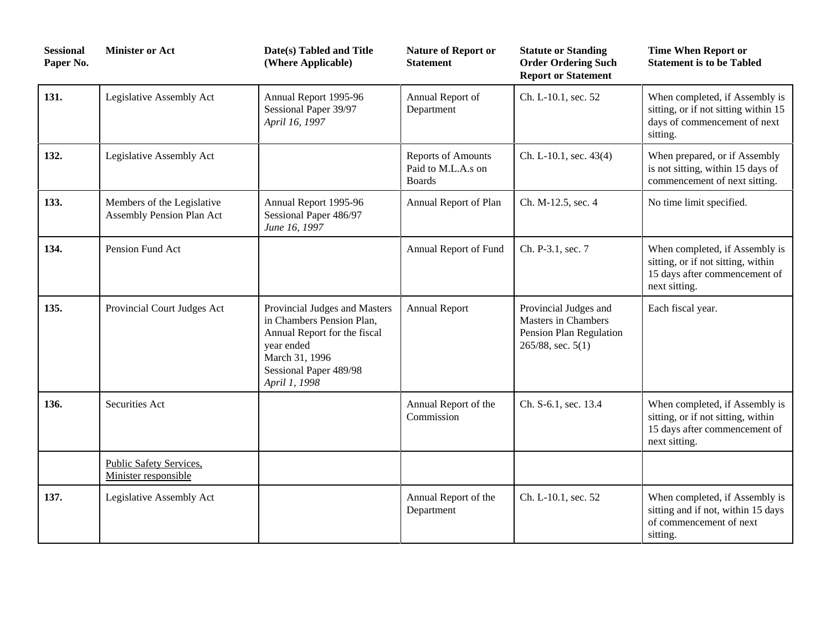| <b>Sessional</b><br>Paper No. | <b>Minister or Act</b>                                  | Date(s) Tabled and Title<br>(Where Applicable)                                                                                                                        | <b>Nature of Report or</b><br><b>Statement</b>            | <b>Statute or Standing</b><br><b>Order Ordering Such</b><br><b>Report or Statement</b>                   | <b>Time When Report or</b><br><b>Statement is to be Tabled</b>                                                         |
|-------------------------------|---------------------------------------------------------|-----------------------------------------------------------------------------------------------------------------------------------------------------------------------|-----------------------------------------------------------|----------------------------------------------------------------------------------------------------------|------------------------------------------------------------------------------------------------------------------------|
| 131.                          | Legislative Assembly Act                                | Annual Report 1995-96<br>Sessional Paper 39/97<br>April 16, 1997                                                                                                      | Annual Report of<br>Department                            | Ch. L-10.1, sec. 52                                                                                      | When completed, if Assembly is<br>sitting, or if not sitting within 15<br>days of commencement of next<br>sitting.     |
| 132.                          | Legislative Assembly Act                                |                                                                                                                                                                       | Reports of Amounts<br>Paid to M.L.A.s on<br><b>Boards</b> | Ch. L-10.1, sec. 43(4)                                                                                   | When prepared, or if Assembly<br>is not sitting, within 15 days of<br>commencement of next sitting.                    |
| 133.                          | Members of the Legislative<br>Assembly Pension Plan Act | Annual Report 1995-96<br>Sessional Paper 486/97<br>June 16, 1997                                                                                                      | Annual Report of Plan                                     | Ch. M-12.5, sec. 4                                                                                       | No time limit specified.                                                                                               |
| 134.                          | Pension Fund Act                                        |                                                                                                                                                                       | Annual Report of Fund                                     | Ch. P-3.1, sec. 7                                                                                        | When completed, if Assembly is<br>sitting, or if not sitting, within<br>15 days after commencement of<br>next sitting. |
| 135.                          | Provincial Court Judges Act                             | Provincial Judges and Masters<br>in Chambers Pension Plan,<br>Annual Report for the fiscal<br>year ended<br>March 31, 1996<br>Sessional Paper 489/98<br>April 1, 1998 | <b>Annual Report</b>                                      | Provincial Judges and<br><b>Masters in Chambers</b><br>Pension Plan Regulation<br>$265/88$ , sec. $5(1)$ | Each fiscal year.                                                                                                      |
| 136.                          | Securities Act                                          |                                                                                                                                                                       | Annual Report of the<br>Commission                        | Ch. S-6.1, sec. 13.4                                                                                     | When completed, if Assembly is<br>sitting, or if not sitting, within<br>15 days after commencement of<br>next sitting. |
|                               | <b>Public Safety Services,</b><br>Minister responsible  |                                                                                                                                                                       |                                                           |                                                                                                          |                                                                                                                        |
| 137.                          | Legislative Assembly Act                                |                                                                                                                                                                       | Annual Report of the<br>Department                        | Ch. L-10.1, sec. 52                                                                                      | When completed, if Assembly is<br>sitting and if not, within 15 days<br>of commencement of next<br>sitting.            |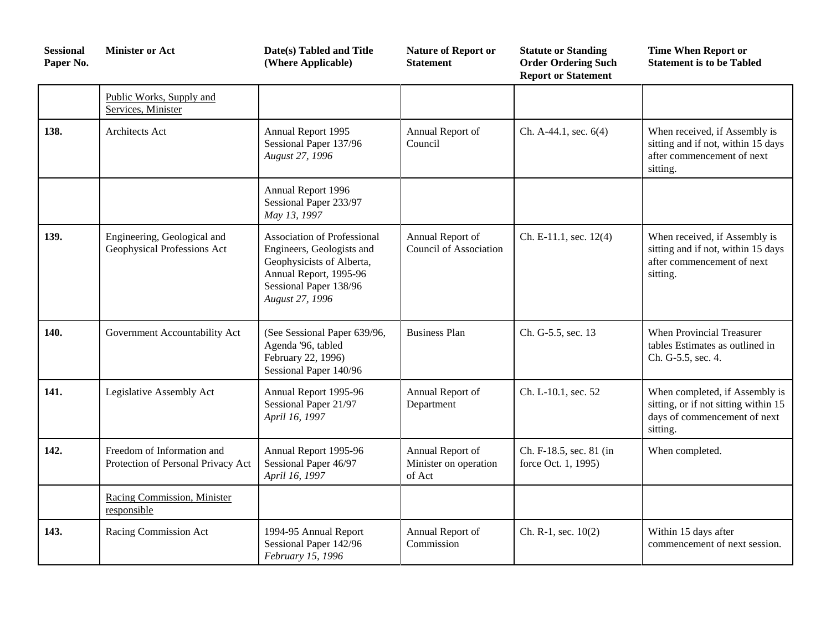| <b>Sessional</b><br>Paper No. | <b>Minister or Act</b>                                           | Date(s) Tabled and Title<br>(Where Applicable)                                                                                                                      | <b>Nature of Report or</b><br><b>Statement</b>      | <b>Statute or Standing</b><br><b>Order Ordering Such</b><br><b>Report or Statement</b> | <b>Time When Report or</b><br><b>Statement is to be Tabled</b>                                                     |
|-------------------------------|------------------------------------------------------------------|---------------------------------------------------------------------------------------------------------------------------------------------------------------------|-----------------------------------------------------|----------------------------------------------------------------------------------------|--------------------------------------------------------------------------------------------------------------------|
|                               | Public Works, Supply and<br>Services, Minister                   |                                                                                                                                                                     |                                                     |                                                                                        |                                                                                                                    |
| 138.                          | <b>Architects Act</b>                                            | Annual Report 1995<br>Sessional Paper 137/96<br>August 27, 1996                                                                                                     | Annual Report of<br>Council                         | Ch. A-44.1, sec. 6(4)                                                                  | When received, if Assembly is<br>sitting and if not, within 15 days<br>after commencement of next<br>sitting.      |
|                               |                                                                  | Annual Report 1996<br>Sessional Paper 233/97<br>May 13, 1997                                                                                                        |                                                     |                                                                                        |                                                                                                                    |
| 139.                          | Engineering, Geological and<br>Geophysical Professions Act       | <b>Association of Professional</b><br>Engineers, Geologists and<br>Geophysicists of Alberta,<br>Annual Report, 1995-96<br>Sessional Paper 138/96<br>August 27, 1996 | Annual Report of<br><b>Council of Association</b>   | Ch. E-11.1, sec. 12(4)                                                                 | When received, if Assembly is<br>sitting and if not, within 15 days<br>after commencement of next<br>sitting.      |
| 140.                          | Government Accountability Act                                    | (See Sessional Paper 639/96,<br>Agenda '96, tabled<br>February 22, 1996)<br>Sessional Paper 140/96                                                                  | <b>Business Plan</b>                                | Ch. G-5.5, sec. 13                                                                     | <b>When Provincial Treasurer</b><br>tables Estimates as outlined in<br>Ch. G-5.5, sec. 4.                          |
| 141.                          | Legislative Assembly Act                                         | Annual Report 1995-96<br>Sessional Paper 21/97<br>April 16, 1997                                                                                                    | Annual Report of<br>Department                      | Ch. L-10.1, sec. 52                                                                    | When completed, if Assembly is<br>sitting, or if not sitting within 15<br>days of commencement of next<br>sitting. |
| 142.                          | Freedom of Information and<br>Protection of Personal Privacy Act | Annual Report 1995-96<br>Sessional Paper 46/97<br>April 16, 1997                                                                                                    | Annual Report of<br>Minister on operation<br>of Act | Ch. F-18.5, sec. 81 (in<br>force Oct. 1, 1995)                                         | When completed.                                                                                                    |
|                               | Racing Commission, Minister<br>responsible                       |                                                                                                                                                                     |                                                     |                                                                                        |                                                                                                                    |
| 143.                          | Racing Commission Act                                            | 1994-95 Annual Report<br>Sessional Paper 142/96<br>February 15, 1996                                                                                                | Annual Report of<br>Commission                      | Ch. R-1, sec. 10(2)                                                                    | Within 15 days after<br>commencement of next session.                                                              |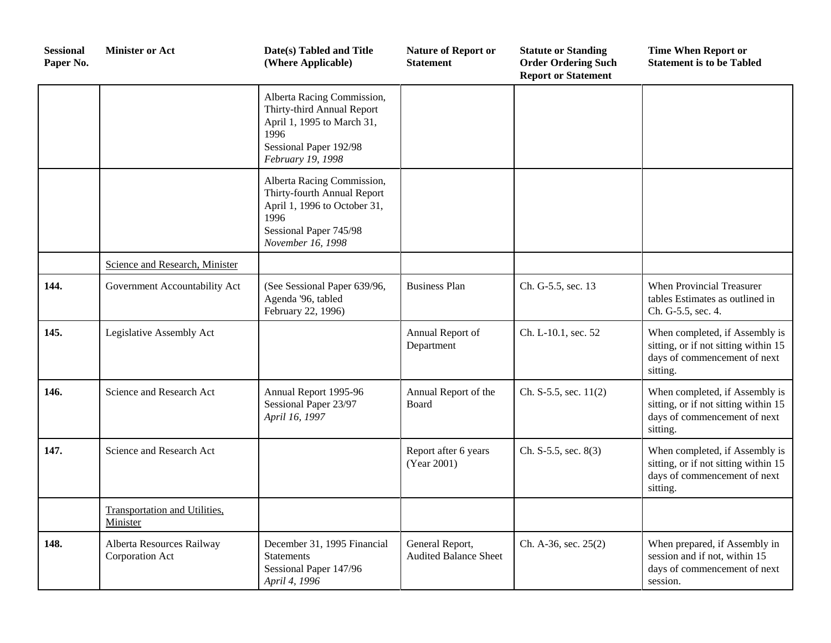| <b>Sessional</b><br>Paper No. | <b>Minister or Act</b>                           | Date(s) Tabled and Title<br>(Where Applicable)                                                                                                   | <b>Nature of Report or</b><br><b>Statement</b>  | <b>Statute or Standing</b><br><b>Order Ordering Such</b><br><b>Report or Statement</b> | <b>Time When Report or</b><br><b>Statement is to be Tabled</b>                                                     |
|-------------------------------|--------------------------------------------------|--------------------------------------------------------------------------------------------------------------------------------------------------|-------------------------------------------------|----------------------------------------------------------------------------------------|--------------------------------------------------------------------------------------------------------------------|
|                               |                                                  | Alberta Racing Commission,<br>Thirty-third Annual Report<br>April 1, 1995 to March 31,<br>1996<br>Sessional Paper 192/98<br>February 19, 1998    |                                                 |                                                                                        |                                                                                                                    |
|                               |                                                  | Alberta Racing Commission,<br>Thirty-fourth Annual Report<br>April 1, 1996 to October 31,<br>1996<br>Sessional Paper 745/98<br>November 16, 1998 |                                                 |                                                                                        |                                                                                                                    |
|                               | Science and Research, Minister                   |                                                                                                                                                  |                                                 |                                                                                        |                                                                                                                    |
| 144.                          | Government Accountability Act                    | (See Sessional Paper 639/96,<br>Agenda '96, tabled<br>February 22, 1996)                                                                         | <b>Business Plan</b>                            | Ch. G-5.5, sec. 13                                                                     | When Provincial Treasurer<br>tables Estimates as outlined in<br>Ch. G-5.5, sec. 4.                                 |
| 145.                          | Legislative Assembly Act                         |                                                                                                                                                  | Annual Report of<br>Department                  | Ch. L-10.1, sec. 52                                                                    | When completed, if Assembly is<br>sitting, or if not sitting within 15<br>days of commencement of next<br>sitting. |
| 146.                          | Science and Research Act                         | Annual Report 1995-96<br>Sessional Paper 23/97<br>April 16, 1997                                                                                 | Annual Report of the<br>Board                   | Ch. $S-5.5$ , sec. $11(2)$                                                             | When completed, if Assembly is<br>sitting, or if not sitting within 15<br>days of commencement of next<br>sitting. |
| 147.                          | Science and Research Act                         |                                                                                                                                                  | Report after 6 years<br>(Year 2001)             | Ch. $S-5.5$ , sec. $8(3)$                                                              | When completed, if Assembly is<br>sitting, or if not sitting within 15<br>days of commencement of next<br>sitting. |
|                               | <b>Transportation and Utilities,</b><br>Minister |                                                                                                                                                  |                                                 |                                                                                        |                                                                                                                    |
| 148.                          | Alberta Resources Railway<br>Corporation Act     | December 31, 1995 Financial<br><b>Statements</b><br>Sessional Paper 147/96<br>April 4, 1996                                                      | General Report,<br><b>Audited Balance Sheet</b> | Ch. A-36, sec. 25(2)                                                                   | When prepared, if Assembly in<br>session and if not, within 15<br>days of commencement of next<br>session.         |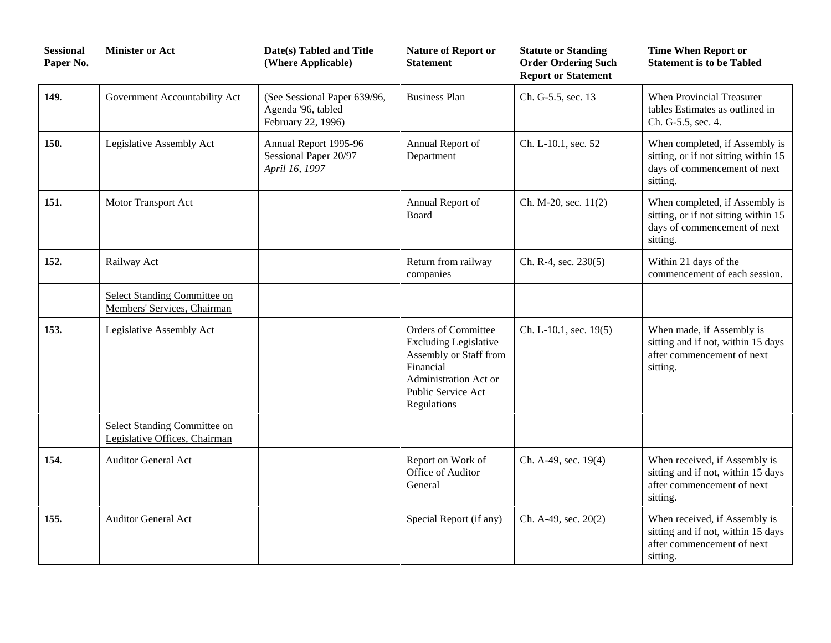| <b>Sessional</b><br>Paper No. | <b>Minister or Act</b>                                        | Date(s) Tabled and Title<br>(Where Applicable)                           | <b>Nature of Report or</b><br><b>Statement</b>                                                                                                                  | <b>Statute or Standing</b><br><b>Order Ordering Such</b><br><b>Report or Statement</b> | <b>Time When Report or</b><br><b>Statement is to be Tabled</b>                                                     |
|-------------------------------|---------------------------------------------------------------|--------------------------------------------------------------------------|-----------------------------------------------------------------------------------------------------------------------------------------------------------------|----------------------------------------------------------------------------------------|--------------------------------------------------------------------------------------------------------------------|
| 149.                          | Government Accountability Act                                 | (See Sessional Paper 639/96,<br>Agenda '96, tabled<br>February 22, 1996) | <b>Business Plan</b>                                                                                                                                            | Ch. G-5.5, sec. 13                                                                     | When Provincial Treasurer<br>tables Estimates as outlined in<br>Ch. G-5.5, sec. 4.                                 |
| 150.                          | Legislative Assembly Act                                      | Annual Report 1995-96<br>Sessional Paper 20/97<br>April 16, 1997         | Annual Report of<br>Department                                                                                                                                  | Ch. L-10.1, sec. 52                                                                    | When completed, if Assembly is<br>sitting, or if not sitting within 15<br>days of commencement of next<br>sitting. |
| 151.                          | Motor Transport Act                                           |                                                                          | Annual Report of<br>Board                                                                                                                                       | Ch. M-20, sec. 11(2)                                                                   | When completed, if Assembly is<br>sitting, or if not sitting within 15<br>days of commencement of next<br>sitting. |
| 152.                          | Railway Act                                                   |                                                                          | Return from railway<br>companies                                                                                                                                | Ch. R-4, sec. 230(5)                                                                   | Within 21 days of the<br>commencement of each session.                                                             |
|                               | Select Standing Committee on<br>Members' Services, Chairman   |                                                                          |                                                                                                                                                                 |                                                                                        |                                                                                                                    |
| 153.                          | Legislative Assembly Act                                      |                                                                          | <b>Orders of Committee</b><br><b>Excluding Legislative</b><br>Assembly or Staff from<br>Financial<br>Administration Act or<br>Public Service Act<br>Regulations | Ch. L-10.1, sec. 19(5)                                                                 | When made, if Assembly is<br>sitting and if not, within 15 days<br>after commencement of next<br>sitting.          |
|                               | Select Standing Committee on<br>Legislative Offices, Chairman |                                                                          |                                                                                                                                                                 |                                                                                        |                                                                                                                    |
| 154.                          | <b>Auditor General Act</b>                                    |                                                                          | Report on Work of<br>Office of Auditor<br>General                                                                                                               | Ch. A-49, sec. 19(4)                                                                   | When received, if Assembly is<br>sitting and if not, within 15 days<br>after commencement of next<br>sitting.      |
| 155.                          | <b>Auditor General Act</b>                                    |                                                                          | Special Report (if any)                                                                                                                                         | Ch. A-49, sec. 20(2)                                                                   | When received, if Assembly is<br>sitting and if not, within 15 days<br>after commencement of next<br>sitting.      |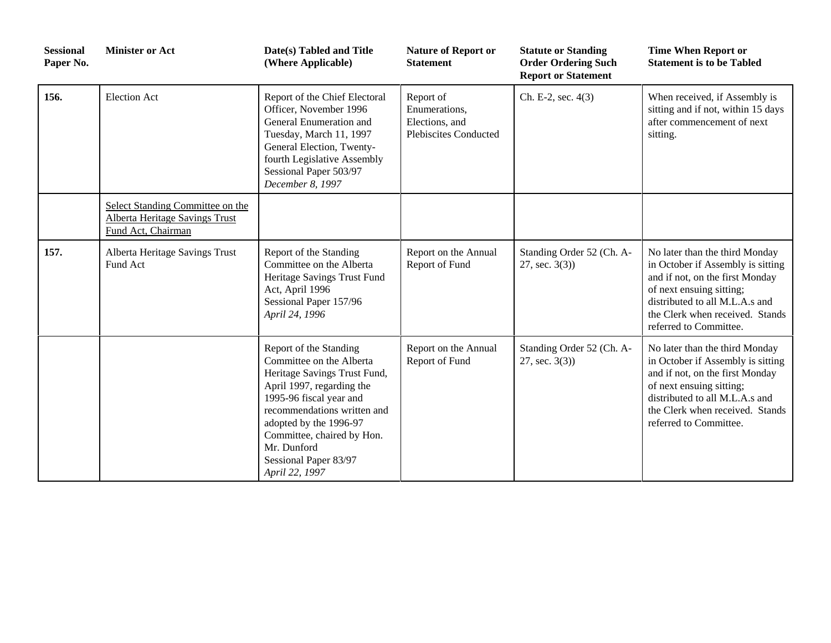| <b>Sessional</b><br>Paper No. | <b>Minister or Act</b>                                                                          | Date(s) Tabled and Title<br>(Where Applicable)                                                                                                                                                                                                                                              | <b>Nature of Report or</b><br><b>Statement</b>                               | <b>Statute or Standing</b><br><b>Order Ordering Such</b><br><b>Report or Statement</b> | <b>Time When Report or</b><br><b>Statement is to be Tabled</b>                                                                                                                                                                    |
|-------------------------------|-------------------------------------------------------------------------------------------------|---------------------------------------------------------------------------------------------------------------------------------------------------------------------------------------------------------------------------------------------------------------------------------------------|------------------------------------------------------------------------------|----------------------------------------------------------------------------------------|-----------------------------------------------------------------------------------------------------------------------------------------------------------------------------------------------------------------------------------|
| 156.                          | <b>Election Act</b>                                                                             | Report of the Chief Electoral<br>Officer, November 1996<br>General Enumeration and<br>Tuesday, March 11, 1997<br>General Election, Twenty-<br>fourth Legislative Assembly<br>Sessional Paper 503/97<br>December 8, 1997                                                                     | Report of<br>Enumerations,<br>Elections, and<br><b>Plebiscites Conducted</b> | Ch. E-2, sec. 4(3)                                                                     | When received, if Assembly is<br>sitting and if not, within 15 days<br>after commencement of next<br>sitting.                                                                                                                     |
|                               | Select Standing Committee on the<br><b>Alberta Heritage Savings Trust</b><br>Fund Act, Chairman |                                                                                                                                                                                                                                                                                             |                                                                              |                                                                                        |                                                                                                                                                                                                                                   |
| 157.                          | Alberta Heritage Savings Trust<br>Fund Act                                                      | Report of the Standing<br>Committee on the Alberta<br>Heritage Savings Trust Fund<br>Act, April 1996<br>Sessional Paper 157/96<br>April 24, 1996                                                                                                                                            | Report on the Annual<br>Report of Fund                                       | Standing Order 52 (Ch. A-<br>$27, \text{sec. } 3(3)$                                   | No later than the third Monday<br>in October if Assembly is sitting<br>and if not, on the first Monday<br>of next ensuing sitting;<br>distributed to all M.L.A.s and<br>the Clerk when received. Stands<br>referred to Committee. |
|                               |                                                                                                 | Report of the Standing<br>Committee on the Alberta<br>Heritage Savings Trust Fund,<br>April 1997, regarding the<br>1995-96 fiscal year and<br>recommendations written and<br>adopted by the 1996-97<br>Committee, chaired by Hon.<br>Mr. Dunford<br>Sessional Paper 83/97<br>April 22, 1997 | Report on the Annual<br>Report of Fund                                       | Standing Order 52 (Ch. A-<br>$27, \text{sec. } 3(3)$                                   | No later than the third Monday<br>in October if Assembly is sitting<br>and if not, on the first Monday<br>of next ensuing sitting;<br>distributed to all M.L.A.s and<br>the Clerk when received. Stands<br>referred to Committee. |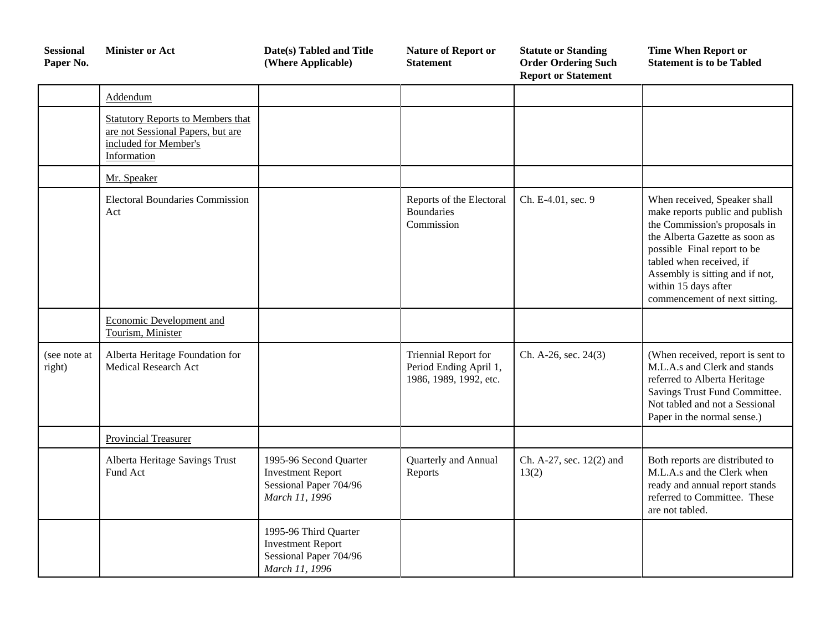| <b>Sessional</b><br>Paper No. | <b>Minister or Act</b>                                                                                         | Date(s) Tabled and Title<br>(Where Applicable)                                                 | <b>Nature of Report or</b><br><b>Statement</b>                                  | <b>Statute or Standing</b><br><b>Order Ordering Such</b><br><b>Report or Statement</b> | <b>Time When Report or</b><br><b>Statement is to be Tabled</b>                                                                                                                                                                                                                            |
|-------------------------------|----------------------------------------------------------------------------------------------------------------|------------------------------------------------------------------------------------------------|---------------------------------------------------------------------------------|----------------------------------------------------------------------------------------|-------------------------------------------------------------------------------------------------------------------------------------------------------------------------------------------------------------------------------------------------------------------------------------------|
|                               | Addendum                                                                                                       |                                                                                                |                                                                                 |                                                                                        |                                                                                                                                                                                                                                                                                           |
|                               | Statutory Reports to Members that<br>are not Sessional Papers, but are<br>included for Member's<br>Information |                                                                                                |                                                                                 |                                                                                        |                                                                                                                                                                                                                                                                                           |
|                               | Mr. Speaker                                                                                                    |                                                                                                |                                                                                 |                                                                                        |                                                                                                                                                                                                                                                                                           |
|                               | <b>Electoral Boundaries Commission</b><br>Act                                                                  |                                                                                                | Reports of the Electoral<br><b>Boundaries</b><br>Commission                     | Ch. E-4.01, sec. 9                                                                     | When received, Speaker shall<br>make reports public and publish<br>the Commission's proposals in<br>the Alberta Gazette as soon as<br>possible Final report to be<br>tabled when received, if<br>Assembly is sitting and if not,<br>within 15 days after<br>commencement of next sitting. |
|                               | Economic Development and<br>Tourism, Minister                                                                  |                                                                                                |                                                                                 |                                                                                        |                                                                                                                                                                                                                                                                                           |
| (see note at<br>right)        | Alberta Heritage Foundation for<br><b>Medical Research Act</b>                                                 |                                                                                                | <b>Triennial Report for</b><br>Period Ending April 1,<br>1986, 1989, 1992, etc. | Ch. A-26, sec. 24(3)                                                                   | (When received, report is sent to<br>M.L.A.s and Clerk and stands<br>referred to Alberta Heritage<br>Savings Trust Fund Committee.<br>Not tabled and not a Sessional<br>Paper in the normal sense.)                                                                                       |
|                               | <b>Provincial Treasurer</b>                                                                                    |                                                                                                |                                                                                 |                                                                                        |                                                                                                                                                                                                                                                                                           |
|                               | Alberta Heritage Savings Trust<br>Fund Act                                                                     | 1995-96 Second Quarter<br><b>Investment Report</b><br>Sessional Paper 704/96<br>March 11, 1996 | Quarterly and Annual<br>Reports                                                 | Ch. A-27, sec. 12(2) and<br>13(2)                                                      | Both reports are distributed to<br>M.L.A.s and the Clerk when<br>ready and annual report stands<br>referred to Committee. These<br>are not tabled.                                                                                                                                        |
|                               |                                                                                                                | 1995-96 Third Quarter<br><b>Investment Report</b><br>Sessional Paper 704/96<br>March 11, 1996  |                                                                                 |                                                                                        |                                                                                                                                                                                                                                                                                           |